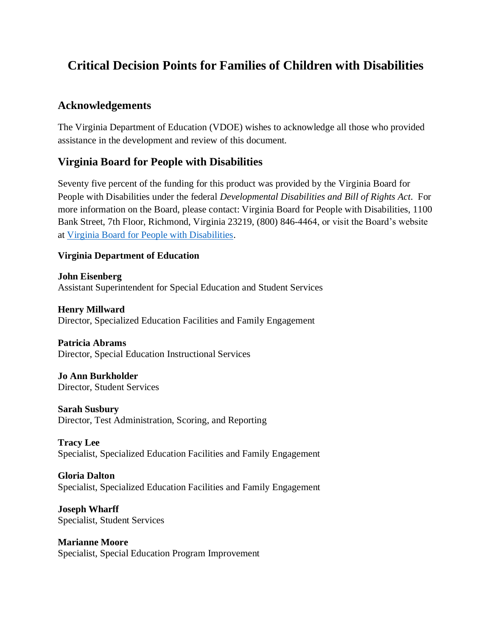# **Critical Decision Points for Families of Children with Disabilities**

## **Acknowledgements**

The Virginia Department of Education (VDOE) wishes to acknowledge all those who provided assistance in the development and review of this document.

## **Virginia Board for People with Disabilities**

Seventy five percent of the funding for this product was provided by the Virginia Board for People with Disabilities under the federal *Developmental Disabilities and Bill of Rights Act*. For more information on the Board, please contact: Virginia Board for People with Disabilities, 1100 Bank Street, 7th Floor, Richmond, Virginia 23219, (800) 846-4464, or visit the Board's website at [Virginia Board for People with Disabilities.](https://www.vaboard.org/)

### **Virginia Department of Education**

**John Eisenberg** Assistant Superintendent for Special Education and Student Services

**Henry Millward** Director, Specialized Education Facilities and Family Engagement

### **Patricia Abrams**

Director, Special Education Instructional Services

#### **Jo Ann Burkholder** Director, Student Services

**Sarah Susbury** Director, Test Administration, Scoring, and Reporting

**Tracy Lee** Specialist, Specialized Education Facilities and Family Engagement

### **Gloria Dalton**

Specialist, Specialized Education Facilities and Family Engagement

**Joseph Wharff** Specialist, Student Services

**Marianne Moore** Specialist, Special Education Program Improvement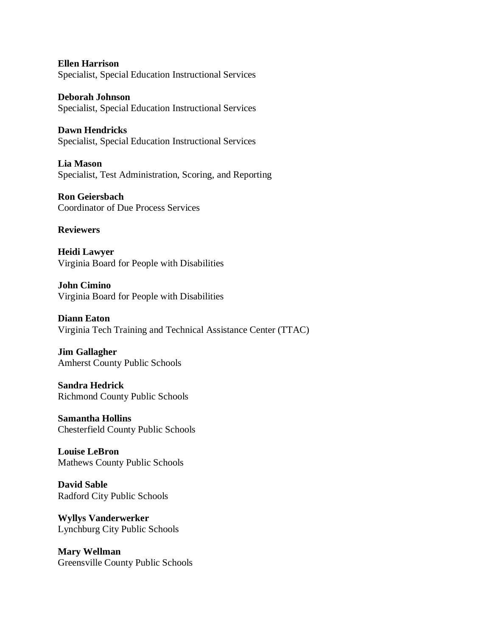**Ellen Harrison** Specialist, Special Education Instructional Services

**Deborah Johnson** Specialist, Special Education Instructional Services

**Dawn Hendricks** Specialist, Special Education Instructional Services

**Lia Mason** Specialist, Test Administration, Scoring, and Reporting

**Ron Geiersbach** Coordinator of Due Process Services

#### **Reviewers**

**Heidi Lawyer** Virginia Board for People with Disabilities

**John Cimino** Virginia Board for People with Disabilities

**Diann Eaton** Virginia Tech Training and Technical Assistance Center (TTAC)

**Jim Gallagher** Amherst County Public Schools

**Sandra Hedrick** Richmond County Public Schools

**Samantha Hollins** Chesterfield County Public Schools

**Louise LeBron** Mathews County Public Schools

**David Sable** Radford City Public Schools

**Wyllys Vanderwerker** Lynchburg City Public Schools

**Mary Wellman** Greensville County Public Schools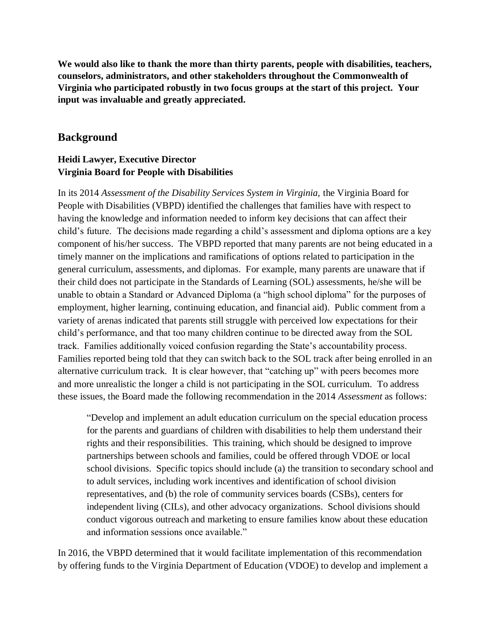**We would also like to thank the more than thirty parents, people with disabilities, teachers, counselors, administrators, and other stakeholders throughout the Commonwealth of Virginia who participated robustly in two focus groups at the start of this project. Your input was invaluable and greatly appreciated.**

### **Background**

### **Heidi Lawyer, Executive Director Virginia Board for People with Disabilities**

In its 2014 *Assessment of the Disability Services System in Virginia,* the Virginia Board for People with Disabilities (VBPD) identified the challenges that families have with respect to having the knowledge and information needed to inform key decisions that can affect their child's future. The decisions made regarding a child's assessment and diploma options are a key component of his/her success. The VBPD reported that many parents are not being educated in a timely manner on the implications and ramifications of options related to participation in the general curriculum, assessments, and diplomas. For example, many parents are unaware that if their child does not participate in the Standards of Learning (SOL) assessments, he/she will be unable to obtain a Standard or Advanced Diploma (a "high school diploma" for the purposes of employment, higher learning, continuing education, and financial aid). Public comment from a variety of arenas indicated that parents still struggle with perceived low expectations for their child's performance, and that too many children continue to be directed away from the SOL track. Families additionally voiced confusion regarding the State's accountability process. Families reported being told that they can switch back to the SOL track after being enrolled in an alternative curriculum track. It is clear however, that "catching up" with peers becomes more and more unrealistic the longer a child is not participating in the SOL curriculum. To address these issues, the Board made the following recommendation in the 2014 *Assessment* as follows:

"Develop and implement an adult education curriculum on the special education process for the parents and guardians of children with disabilities to help them understand their rights and their responsibilities. This training, which should be designed to improve partnerships between schools and families, could be offered through VDOE or local school divisions. Specific topics should include (a) the transition to secondary school and to adult services, including work incentives and identification of school division representatives, and (b) the role of community services boards (CSBs), centers for independent living (CILs), and other advocacy organizations. School divisions should conduct vigorous outreach and marketing to ensure families know about these education and information sessions once available."

In 2016, the VBPD determined that it would facilitate implementation of this recommendation by offering funds to the Virginia Department of Education (VDOE) to develop and implement a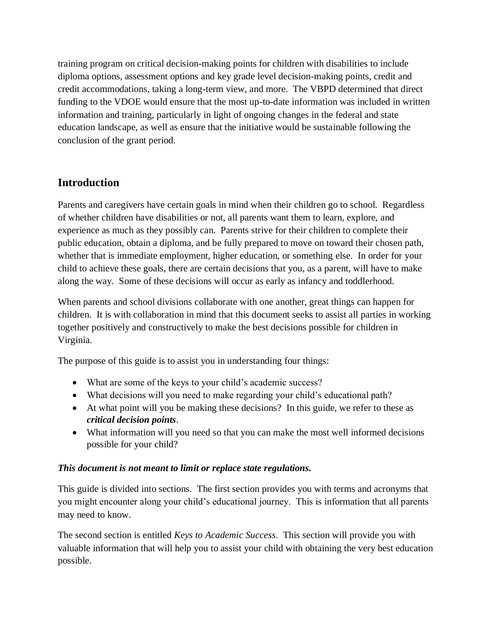training program on critical decision-making points for children with disabilities to include diploma options, assessment options and key grade level decision-making points, credit and credit accommodations, taking a long-term view, and more. The VBPD determined that direct funding to the VDOE would ensure that the most up-to-date information was included in written information and training, particularly in light of ongoing changes in the federal and state education landscape, as well as ensure that the initiative would be sustainable following the conclusion of the grant period.

## **Introduction**

Parents and caregivers have certain goals in mind when their children go to school. Regardless of whether children have disabilities or not, all parents want them to learn, explore, and experience as much as they possibly can. Parents strive for their children to complete their public education, obtain a diploma, and be fully prepared to move on toward their chosen path, whether that is immediate employment, higher education, or something else. In order for your child to achieve these goals, there are certain decisions that you, as a parent, will have to make along the way. Some of these decisions will occur as early as infancy and toddlerhood.

When parents and school divisions collaborate with one another, great things can happen for children. It is with collaboration in mind that this document seeks to assist all parties in working together positively and constructively to make the best decisions possible for children in Virginia.

The purpose of this guide is to assist you in understanding four things:

- What are some of the keys to your child's academic success?
- What decisions will you need to make regarding your child's educational path?
- At what point will you be making these decisions? In this guide, we refer to these as *critical decision points*.
- What information will you need so that you can make the most well informed decisions possible for your child?

## *This document is not meant to limit or replace state regulations.*

This guide is divided into sections. The first section provides you with terms and acronyms that you might encounter along your child's educational journey. This is information that all parents may need to know.

The second section is entitled *Keys to Academic Success.* This section will provide you with valuable information that will help you to assist your child with obtaining the very best education possible.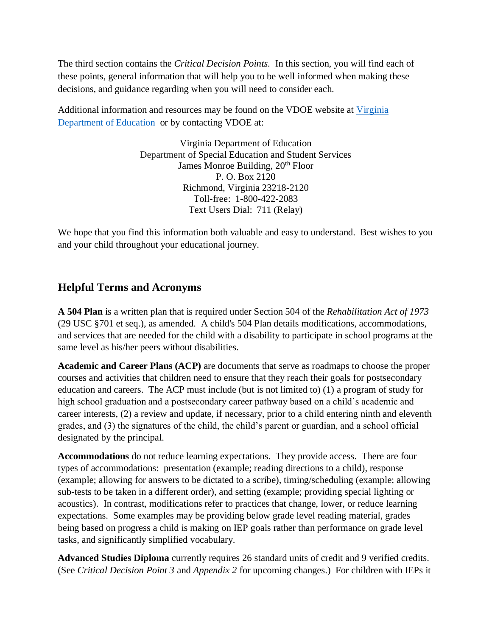The third section contains the *Critical Decision Points.* In this section, you will find each of these points, general information that will help you to be well informed when making these decisions, and guidance regarding when you will need to consider each.

Additional information and resources may be found on the VDOE website at [Virginia](http://www.doe.virginia.gov/)  [Department of Education](http://www.doe.virginia.gov/) or by contacting VDOE at:

> Virginia Department of Education Department of Special Education and Student Services James Monroe Building, 20<sup>th</sup> Floor P. O. Box 2120 Richmond, Virginia 23218-2120 Toll-free: 1-800-422-2083 Text Users Dial: 711 (Relay)

We hope that you find this information both valuable and easy to understand. Best wishes to you and your child throughout your educational journey.

## **Helpful Terms and Acronyms**

**A 504 Plan** is a written plan that is required under Section 504 of the *Rehabilitation Act of 1973*  (29 USC §701 et seq.), as amended. A child's 504 Plan details modifications, accommodations, and services that are needed for the child with a disability to participate in school programs at the same level as his/her peers without disabilities.

**Academic and Career Plans (ACP)** are documents that serve as roadmaps to choose the proper courses and activities that children need to ensure that they reach their goals for postsecondary education and careers. The ACP must include (but is not limited to) (1) a program of study for high school graduation and a postsecondary career pathway based on a child's academic and career interests, (2) a review and update, if necessary, prior to a child entering ninth and eleventh grades, and (3) the signatures of the child, the child's parent or guardian, and a school official designated by the principal.

**Accommodations** do not reduce learning expectations. They provide access. There are four types of accommodations: presentation (example; reading directions to a child), response (example; allowing for answers to be dictated to a scribe), timing/scheduling (example; allowing sub-tests to be taken in a different order), and setting (example; providing special lighting or acoustics). In contrast, modifications refer to practices that change, lower, or reduce learning expectations. Some examples may be providing below grade level reading material, grades being based on progress a child is making on IEP goals rather than performance on grade level tasks, and significantly simplified vocabulary.

**Advanced Studies Diploma** currently requires 26 standard units of credit and 9 verified credits. (See *Critical Decision Point 3* and *Appendix 2* for upcoming changes.) For children with IEPs it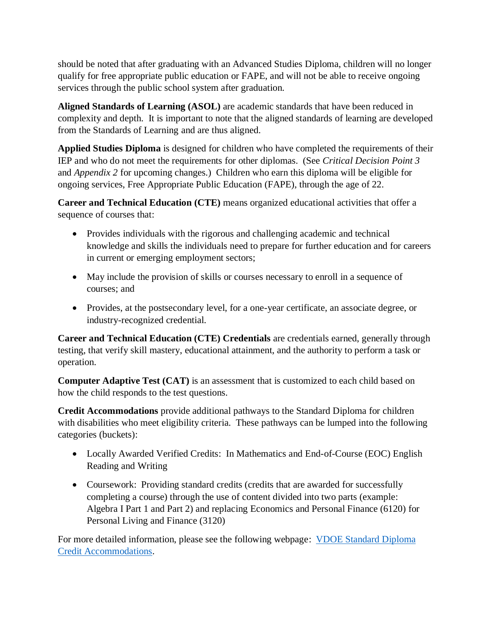should be noted that after graduating with an Advanced Studies Diploma, children will no longer qualify for free appropriate public education or FAPE, and will not be able to receive ongoing services through the public school system after graduation.

**Aligned Standards of Learning (ASOL)** are academic standards that have been reduced in complexity and depth. It is important to note that the aligned standards of learning are developed from the Standards of Learning and are thus aligned.

**Applied Studies Diploma** is designed for children who have completed the requirements of their IEP and who do not meet the requirements for other diplomas. (See *Critical Decision Point 3*  and *Appendix 2* for upcoming changes*.*)Children who earn this diploma will be eligible for ongoing services, Free Appropriate Public Education (FAPE), through the age of 22.

**Career and Technical Education (CTE)** means organized educational activities that offer a sequence of courses that:

- Provides individuals with the rigorous and challenging academic and technical knowledge and skills the individuals need to prepare for further education and for careers in current or emerging employment sectors;
- May include the provision of skills or courses necessary to enroll in a sequence of courses; and
- Provides, at the postsecondary level, for a one-year certificate, an associate degree, or industry-recognized credential.

**Career and Technical Education (CTE) Credentials** are credentials earned, generally through testing, that verify skill mastery, educational attainment, and the authority to perform a task or operation.

**Computer Adaptive Test (CAT)** is an assessment that is customized to each child based on how the child responds to the test questions.

**Credit Accommodations** provide additional pathways to the Standard Diploma for children with disabilities who meet eligibility criteria. These pathways can be lumped into the following categories (buckets):

- Locally Awarded Verified Credits: In Mathematics and End-of-Course (EOC) English Reading and Writing
- Coursework: Providing standard credits (credits that are awarded for successfully completing a course) through the use of content divided into two parts (example: Algebra I Part 1 and Part 2) and replacing Economics and Personal Finance (6120) for Personal Living and Finance (3120)

For more detailed information, please see the following webpage: [VDOE Standard Diploma](http://www.doe.virginia.gov/instruction/graduation/credit_accommodations.shtml)  [Credit Accommodations.](http://www.doe.virginia.gov/instruction/graduation/credit_accommodations.shtml)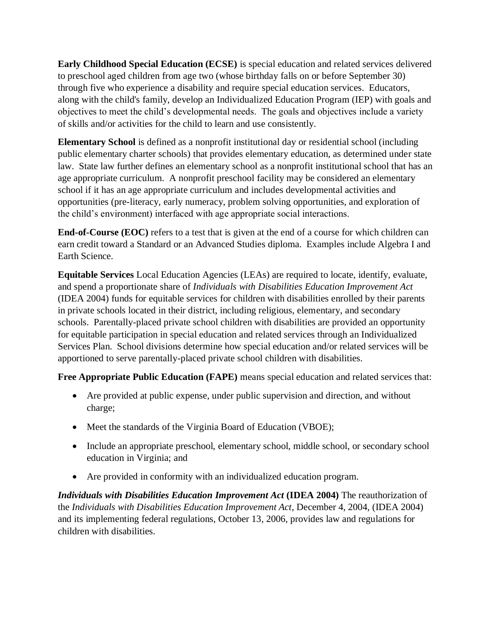**Early Childhood Special Education (ECSE)** is special education and related services delivered to preschool aged children from age two (whose birthday falls on or before September 30) through five who experience a disability and require special education services. Educators, along with the child's family, develop an Individualized Education Program (IEP) with goals and objectives to meet the child's developmental needs. The goals and objectives include a variety of skills and/or activities for the child to learn and use consistently.

**Elementary School** is defined as a nonprofit institutional day or residential school (including public elementary charter schools) that provides elementary education, as determined under state law. State law further defines an elementary school as a nonprofit institutional school that has an age appropriate curriculum. A nonprofit preschool facility may be considered an elementary school if it has an age appropriate curriculum and includes developmental activities and opportunities (pre-literacy, early numeracy, problem solving opportunities, and exploration of the child's environment) interfaced with age appropriate social interactions.

**End-of-Course (EOC)** refers to a test that is given at the end of a course for which children can earn credit toward a Standard or an Advanced Studies diploma. Examples include Algebra I and Earth Science.

**Equitable Services** Local Education Agencies (LEAs) are required to locate, identify, evaluate, and spend a proportionate share of *Individuals with Disabilities Education Improvement Act*  (IDEA 2004) funds for equitable services for children with disabilities enrolled by their parents in private schools located in their district, including religious, elementary, and secondary schools. Parentally-placed private school children with disabilities are provided an opportunity for equitable participation in special education and related services through an Individualized Services Plan. School divisions determine how special education and/or related services will be apportioned to serve parentally-placed private school children with disabilities.

**Free Appropriate Public Education (FAPE)** means special education and related services that:

- Are provided at public expense, under public supervision and direction, and without charge;
- Meet the standards of the Virginia Board of Education (VBOE);
- Include an appropriate preschool, elementary school, middle school, or secondary school education in Virginia; and
- Are provided in conformity with an individualized education program.

*Individuals with Disabilities Education Improvement Act* **(IDEA 2004)** The reauthorization of the *Individuals with Disabilities Education Improvement Act*, December 4, 2004, (IDEA 2004) and its implementing federal regulations, October 13, 2006, provides law and regulations for children with disabilities.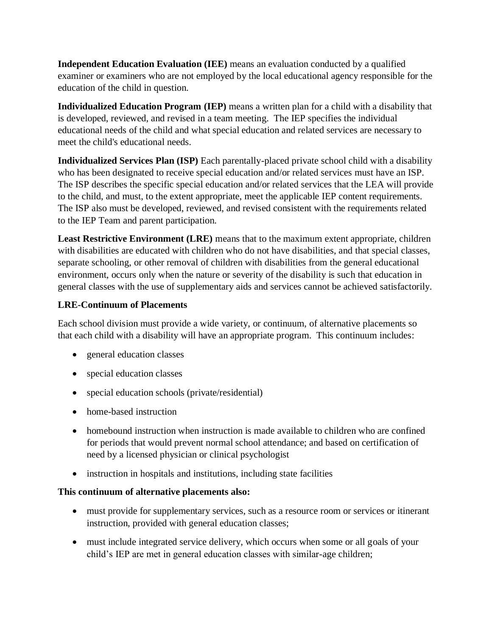**Independent Education Evaluation (IEE)** means an evaluation conducted by a qualified examiner or examiners who are not employed by the local educational agency responsible for the education of the child in question.

**Individualized Education Program (IEP)** means a written plan for a child with a disability that is developed, reviewed, and revised in a team meeting. The IEP specifies the individual educational needs of the child and what special education and related services are necessary to meet the child's educational needs.

**Individualized Services Plan (ISP)** Each parentally-placed private school child with a disability who has been designated to receive special education and/or related services must have an ISP. The ISP describes the specific special education and/or related services that the LEA will provide to the child, and must, to the extent appropriate, meet the applicable IEP content requirements. The ISP also must be developed, reviewed, and revised consistent with the requirements related to the IEP Team and parent participation.

**Least Restrictive Environment (LRE)** means that to the maximum extent appropriate, children with disabilities are educated with children who do not have disabilities, and that special classes, separate schooling, or other removal of children with disabilities from the general educational environment, occurs only when the nature or severity of the disability is such that education in general classes with the use of supplementary aids and services cannot be achieved satisfactorily.

### **LRE-Continuum of Placements**

Each school division must provide a wide variety, or continuum, of alternative placements so that each child with a disability will have an appropriate program. This continuum includes:

- general education classes
- special education classes
- special education schools (private/residential)
- home-based instruction
- homebound instruction when instruction is made available to children who are confined for periods that would prevent normal school attendance; and based on certification of need by a licensed physician or clinical psychologist
- instruction in hospitals and institutions, including state facilities

### **This continuum of alternative placements also:**

- must provide for supplementary services, such as a resource room or services or itinerant instruction, provided with general education classes;
- must include integrated service delivery, which occurs when some or all goals of your child's IEP are met in general education classes with similar-age children;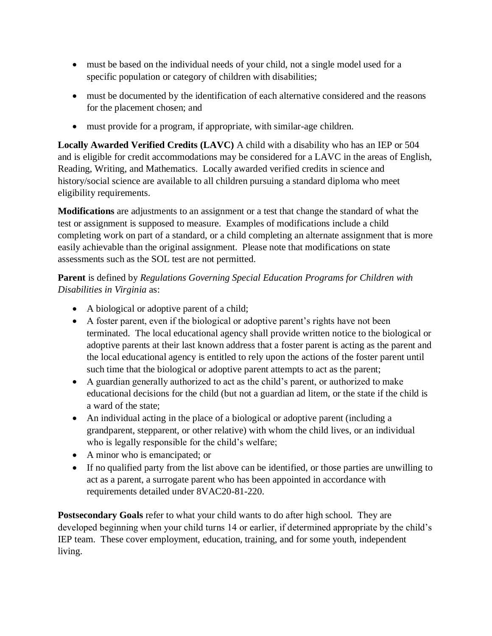- must be based on the individual needs of your child, not a single model used for a specific population or category of children with disabilities;
- must be documented by the identification of each alternative considered and the reasons for the placement chosen; and
- must provide for a program, if appropriate, with similar-age children.

**Locally Awarded Verified Credits (LAVC)** A child with a disability who has an IEP or 504 and is eligible for credit accommodations may be considered for a LAVC in the areas of English, Reading, Writing, and Mathematics. Locally awarded verified credits in science and history/social science are available to all children pursuing a standard diploma who meet eligibility requirements.

**Modifications** are adjustments to an assignment or a test that change the standard of what the test or assignment is supposed to measure. Examples of modifications include a child completing work on part of a standard, or a child completing an alternate assignment that is more easily achievable than the original assignment. Please note that modifications on state assessments such as the SOL test are not permitted.

**Parent** is defined by *Regulations Governing Special Education Programs for Children with Disabilities in Virginia* as:

- A biological or adoptive parent of a child;
- A foster parent, even if the biological or adoptive parent's rights have not been terminated. The local educational agency shall provide written notice to the biological or adoptive parents at their last known address that a foster parent is acting as the parent and the local educational agency is entitled to rely upon the actions of the foster parent until such time that the biological or adoptive parent attempts to act as the parent;
- A guardian generally authorized to act as the child's parent, or authorized to make educational decisions for the child (but not a guardian ad litem, or the state if the child is a ward of the state;
- An individual acting in the place of a biological or adoptive parent (including a grandparent, stepparent, or other relative) with whom the child lives, or an individual who is legally responsible for the child's welfare;
- A minor who is emancipated; or
- If no qualified party from the list above can be identified, or those parties are unwilling to act as a parent, a surrogate parent who has been appointed in accordance with requirements detailed under 8VAC20-81-220.

**Postsecondary Goals** refer to what your child wants to do after high school. They are developed beginning when your child turns 14 or earlier, if determined appropriate by the child's IEP team. These cover employment, education, training, and for some youth, independent living.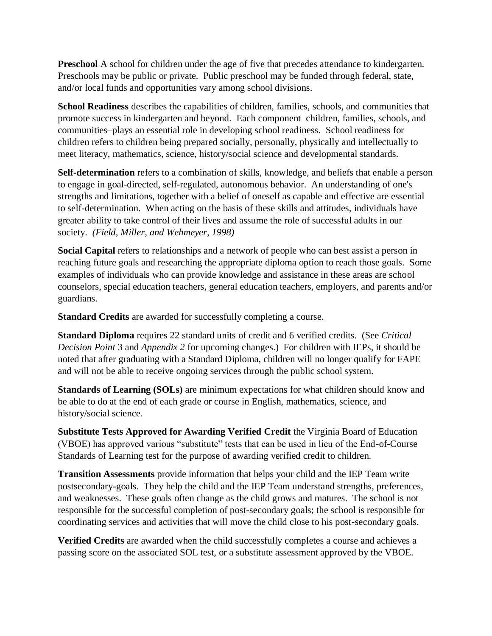**Preschool** A school for children under the age of five that precedes attendance to kindergarten. Preschools may be public or private. Public preschool may be funded through federal, state, and/or local funds and opportunities vary among school divisions.

**School Readiness** describes the capabilities of children, families, schools, and communities that promote success in kindergarten and beyond. Each component–children, families, schools, and communities–plays an essential role in developing school readiness. School readiness for children refers to children being prepared socially, personally, physically and intellectually to meet literacy, mathematics, science, history/social science and developmental standards.

**Self-determination** refers to a combination of skills, knowledge, and beliefs that enable a person to engage in goal-directed, self-regulated, autonomous behavior. An understanding of one's strengths and limitations, together with a belief of oneself as capable and effective are essential to self-determination. When acting on the basis of these skills and attitudes, individuals have greater ability to take control of their lives and assume the role of successful adults in our society. *(Field, Miller, and Wehmeyer, 1998)*

**Social Capital** refers to relationships and a network of people who can best assist a person in reaching future goals and researching the appropriate diploma option to reach those goals. Some examples of individuals who can provide knowledge and assistance in these areas are school counselors, special education teachers, general education teachers, employers, and parents and/or guardians.

**Standard Credits** are awarded for successfully completing a course.

**Standard Diploma** requires 22 standard units of credit and 6 verified credits. (See *Critical Decision Point* 3 and *Appendix 2* for upcoming changes.) For children with IEPs, it should be noted that after graduating with a Standard Diploma, children will no longer qualify for FAPE and will not be able to receive ongoing services through the public school system.

**Standards of Learning (SOLs)** are minimum expectations for what children should know and be able to do at the end of each grade or course in English, mathematics, science, and history/social science.

**Substitute Tests Approved for Awarding Verified Credit** the Virginia Board of Education (VBOE) has approved various "substitute" tests that can be used in lieu of the End-of-Course Standards of Learning test for the purpose of awarding verified credit to children.

**Transition Assessments** provide information that helps your child and the IEP Team write postsecondary-goals. They help the child and the IEP Team understand strengths, preferences, and weaknesses. These goals often change as the child grows and matures. The school is not responsible for the successful completion of post-secondary goals; the school is responsible for coordinating services and activities that will move the child close to his post-secondary goals.

**Verified Credits** are awarded when the child successfully completes a course and achieves a passing score on the associated SOL test, or a substitute assessment approved by the VBOE.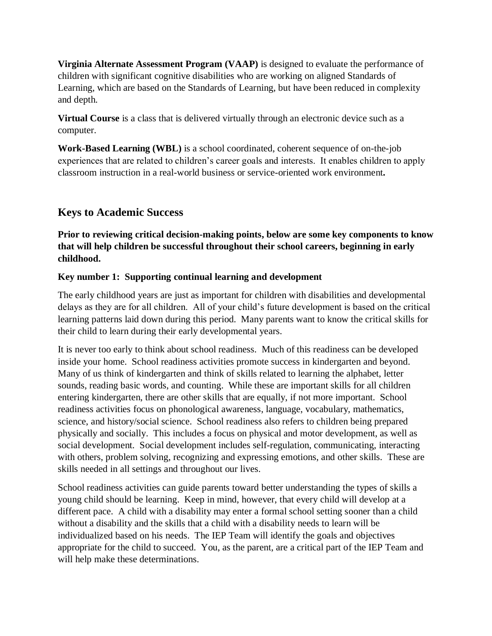**Virginia Alternate Assessment Program (VAAP)** is designed to evaluate the performance of children with significant cognitive disabilities who are working on aligned Standards of Learning, which are based on the Standards of Learning, but have been reduced in complexity and depth.

**Virtual Course** is a class that is delivered virtually through an electronic device such as a computer.

**Work-Based Learning (WBL)** is a school coordinated, coherent sequence of on-the-job experiences that are related to children's career goals and interests. It enables children to apply classroom instruction in a real-world business or service-oriented work environment**.**

## **Keys to Academic Success**

**Prior to reviewing critical decision-making points, below are some key components to know that will help children be successful throughout their school careers, beginning in early childhood.**

### **Key number 1: Supporting continual learning and development**

The early childhood years are just as important for children with disabilities and developmental delays as they are for all children. All of your child's future development is based on the critical learning patterns laid down during this period. Many parents want to know the critical skills for their child to learn during their early developmental years.

It is never too early to think about school readiness. Much of this readiness can be developed inside your home. School readiness activities promote success in kindergarten and beyond. Many of us think of kindergarten and think of skills related to learning the alphabet, letter sounds, reading basic words, and counting. While these are important skills for all children entering kindergarten, there are other skills that are equally, if not more important. School readiness activities focus on phonological awareness, language, vocabulary, mathematics, science, and history/social science. School readiness also refers to children being prepared physically and socially. This includes a focus on physical and motor development, as well as social development. Social development includes self-regulation, communicating, interacting with others, problem solving, recognizing and expressing emotions, and other skills. These are skills needed in all settings and throughout our lives.

School readiness activities can guide parents toward better understanding the types of skills a young child should be learning. Keep in mind, however, that every child will develop at a different pace. A child with a disability may enter a formal school setting sooner than a child without a disability and the skills that a child with a disability needs to learn will be individualized based on his needs. The IEP Team will identify the goals and objectives appropriate for the child to succeed. You, as the parent, are a critical part of the IEP Team and will help make these determinations.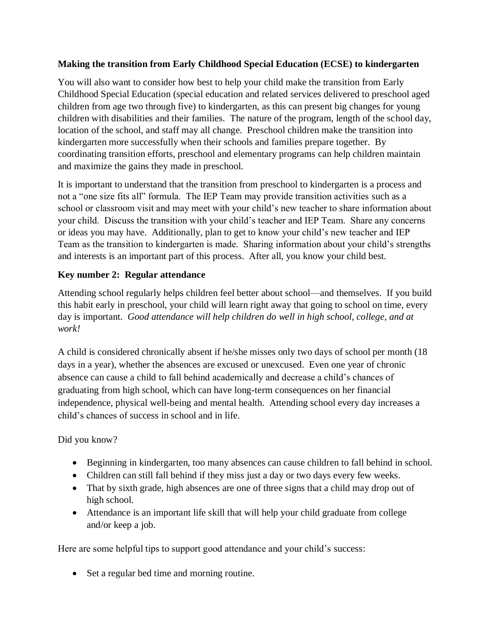### **Making the transition from Early Childhood Special Education (ECSE) to kindergarten**

You will also want to consider how best to help your child make the transition from Early Childhood Special Education (special education and related services delivered to preschool aged children from age two through five) to kindergarten, as this can present big changes for young children with disabilities and their families. The nature of the program, length of the school day, location of the school, and staff may all change. Preschool children make the transition into kindergarten more successfully when their schools and families prepare together. By coordinating transition efforts, preschool and elementary programs can help children maintain and maximize the gains they made in preschool.

It is important to understand that the transition from preschool to kindergarten is a process and not a "one size fits all" formula. The IEP Team may provide transition activities such as a school or classroom visit and may meet with your child's new teacher to share information about your child. Discuss the transition with your child's teacher and IEP Team. Share any concerns or ideas you may have. Additionally, plan to get to know your child's new teacher and IEP Team as the transition to kindergarten is made. Sharing information about your child's strengths and interests is an important part of this process. After all, you know your child best.

### **Key number 2: Regular attendance**

Attending school regularly helps children feel better about school—and themselves. If you build this habit early in preschool, your child will learn right away that going to school on time, every day is important. *Good attendance will help children do well in high school, college, and at work!*

A child is considered chronically absent if he/she misses only two days of school per month (18 days in a year), whether the absences are excused or unexcused. Even one year of chronic absence can cause a child to fall behind academically and decrease a child's chances of graduating from high school, which can have long-term consequences on her financial independence, physical well-being and mental health. Attending school every day increases a child's chances of success in school and in life.

## Did you know?

- Beginning in kindergarten, too many absences can cause children to fall behind in school.
- Children can still fall behind if they miss just a day or two days every few weeks.
- That by sixth grade, high absences are one of three signs that a child may drop out of high school.
- Attendance is an important life skill that will help your child graduate from college and/or keep a job.

Here are some helpful tips to support good attendance and your child's success:

• Set a regular bed time and morning routine.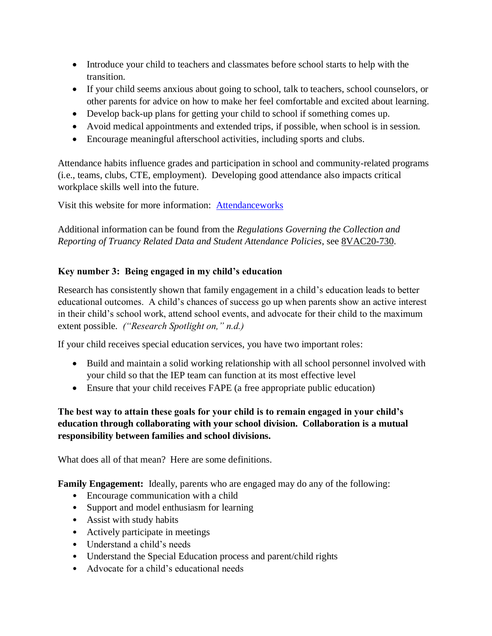- Introduce your child to teachers and classmates before school starts to help with the transition.
- If your child seems anxious about going to school, talk to teachers, school counselors, or other parents for advice on how to make her feel comfortable and excited about learning.
- Develop back-up plans for getting your child to school if something comes up.
- Avoid medical appointments and extended trips, if possible, when school is in session.
- Encourage meaningful afterschool activities, including sports and clubs.

Attendance habits influence grades and participation in school and community-related programs (i.e., teams, clubs, CTE, employment). Developing good attendance also impacts critical workplace skills well into the future.

Visit this website for more information: [Attendanceworks](http://www.attendanceworks.org/) 

Additional information can be found from the *Regulations Governing the Collection and Reporting of Truancy Related Data and Student Attendance Policies*, see [8VAC20-730.](http://law.lis.virginia.gov/admincode/title8/agency20/chapter730/)

### **Key number 3: Being engaged in my child's education**

Research has consistently shown that family engagement in a child's education leads to better educational outcomes. A child's chances of success go up when parents show an active interest in their child's school work, attend school events, and advocate for their child to the maximum extent possible. *("Research Spotlight on," n.d.)*

If your child receives special education services, you have two important roles:

- Build and maintain a solid working relationship with all school personnel involved with your child so that the IEP team can function at its most effective level
- Ensure that your child receives FAPE (a free appropriate public education)

### **The best way to attain these goals for your child is to remain engaged in your child's education through collaborating with your school division. Collaboration is a mutual responsibility between families and school divisions.**

What does all of that mean? Here are some definitions.

**Family Engagement:** Ideally, parents who are engaged may do any of the following:

- Encourage communication with a child
- Support and model enthusiasm for learning
- Assist with study habits
- Actively participate in meetings
- Understand a child's needs
- Understand the Special Education process and parent/child rights
- Advocate for a child's educational needs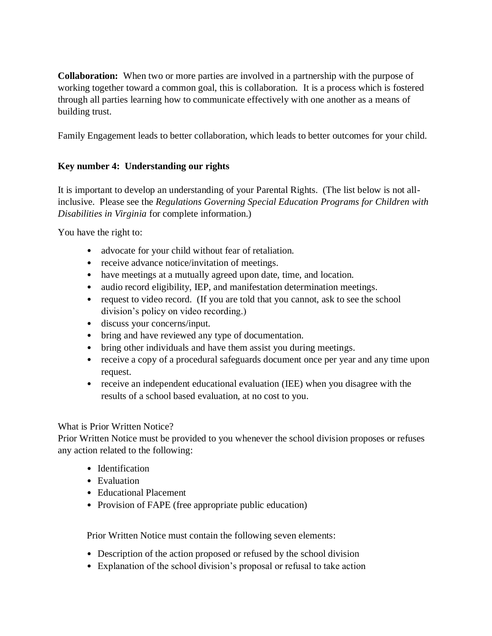**Collaboration:** When two or more parties are involved in a partnership with the purpose of working together toward a common goal, this is collaboration. It is a process which is fostered through all parties learning how to communicate effectively with one another as a means of building trust.

Family Engagement leads to better collaboration, which leads to better outcomes for your child.

### **Key number 4: Understanding our rights**

It is important to develop an understanding of your Parental Rights. (The list below is not allinclusive. Please see the *Regulations Governing Special Education Programs for Children with Disabilities in Virginia* for complete information.)

You have the right to:

- advocate for your child without fear of retaliation.
- receive advance notice/invitation of meetings.
- have meetings at a mutually agreed upon date, time, and location.
- audio record eligibility, IEP, and manifestation determination meetings.
- request to video record. (If you are told that you cannot, ask to see the school division's policy on video recording.)
- discuss your concerns/input.
- bring and have reviewed any type of documentation.
- bring other individuals and have them assist you during meetings.
- receive a copy of a procedural safeguards document once per year and any time upon request.
- receive an independent educational evaluation (IEE) when you disagree with the results of a school based evaluation, at no cost to you.

#### What is Prior Written Notice?

Prior Written Notice must be provided to you whenever the school division proposes or refuses any action related to the following:

- Identification
- Evaluation
- Educational Placement
- Provision of FAPE (free appropriate public education)

Prior Written Notice must contain the following seven elements:

- Description of the action proposed or refused by the school division
- Explanation of the school division's proposal or refusal to take action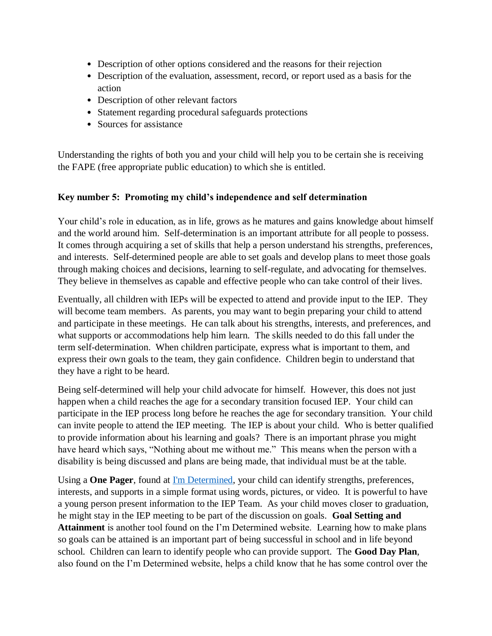- Description of other options considered and the reasons for their rejection
- Description of the evaluation, assessment, record, or report used as a basis for the action
- Description of other relevant factors
- Statement regarding procedural safeguards protections
- Sources for assistance

Understanding the rights of both you and your child will help you to be certain she is receiving the FAPE (free appropriate public education) to which she is entitled.

### **Key number 5: Promoting my child's independence and self determination**

Your child's role in education, as in life, grows as he matures and gains knowledge about himself and the world around him. Self-determination is an important attribute for all people to possess. It comes through acquiring a set of skills that help a person understand his strengths, preferences, and interests. Self-determined people are able to set goals and develop plans to meet those goals through making choices and decisions, learning to self-regulate, and advocating for themselves. They believe in themselves as capable and effective people who can take control of their lives.

Eventually, all children with IEPs will be expected to attend and provide input to the IEP. They will become team members. As parents, you may want to begin preparing your child to attend and participate in these meetings. He can talk about his strengths, interests, and preferences, and what supports or accommodations help him learn. The skills needed to do this fall under the term self-determination. When children participate, express what is important to them, and express their own goals to the team, they gain confidence. Children begin to understand that they have a right to be heard.

Being self-determined will help your child advocate for himself. However, this does not just happen when a child reaches the age for a secondary transition focused IEP. Your child can participate in the IEP process long before he reaches the age for secondary transition. Your child can invite people to attend the IEP meeting. The IEP is about your child. Who is better qualified to provide information about his learning and goals? There is an important phrase you might have heard which says, "Nothing about me without me." This means when the person with a disability is being discussed and plans are being made, that individual must be at the table.

Using a **One Pager**, found at [I'm Determined,](http://www.imdetermined.org/) your child can identify strengths, preferences, interests, and supports in a simple format using words, pictures, or video. It is powerful to have a young person present information to the IEP Team. As your child moves closer to graduation, he might stay in the IEP meeting to be part of the discussion on goals. **Goal Setting and Attainment** is another tool found on the I'm Determined website. Learning how to make plans so goals can be attained is an important part of being successful in school and in life beyond school. Children can learn to identify people who can provide support. The **Good Day Plan**, also found on the I'm Determined website, helps a child know that he has some control over the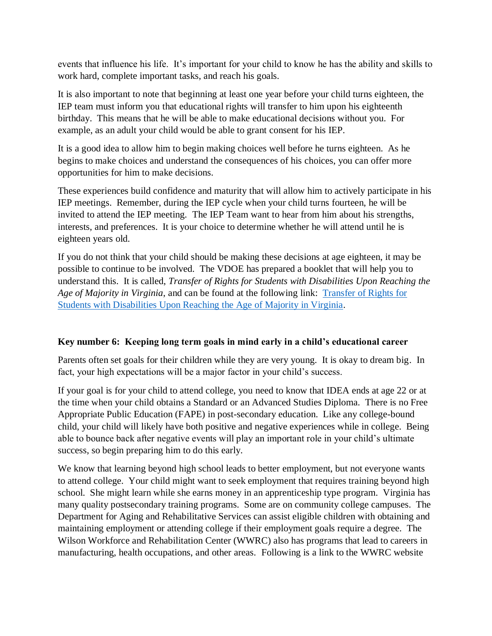events that influence his life. It's important for your child to know he has the ability and skills to work hard, complete important tasks, and reach his goals.

It is also important to note that beginning at least one year before your child turns eighteen, the IEP team must inform you that educational rights will transfer to him upon his eighteenth birthday. This means that he will be able to make educational decisions without you. For example, as an adult your child would be able to grant consent for his IEP.

It is a good idea to allow him to begin making choices well before he turns eighteen. As he begins to make choices and understand the consequences of his choices, you can offer more opportunities for him to make decisions.

These experiences build confidence and maturity that will allow him to actively participate in his IEP meetings. Remember, during the IEP cycle when your child turns fourteen, he will be invited to attend the IEP meeting. The IEP Team want to hear from him about his strengths, interests, and preferences. It is your choice to determine whether he will attend until he is eighteen years old.

If you do not think that your child should be making these decisions at age eighteen, it may be possible to continue to be involved. The VDOE has prepared a booklet that will help you to understand this. It is called, *Transfer of Rights for Students with Disabilities Upon Reaching the Age of Majority in Virginia*, and can be found at the following link: [Transfer of Rights for](http://www.doe.virginia.gov/special_ed/regulations/state/transfer_rights_students_disabilities.pdf)  [Students with Disabilities Upon Reaching the Age of Majority in Virginia.](http://www.doe.virginia.gov/special_ed/regulations/state/transfer_rights_students_disabilities.pdf)

### **Key number 6: Keeping long term goals in mind early in a child's educational career**

Parents often set goals for their children while they are very young. It is okay to dream big. In fact, your high expectations will be a major factor in your child's success.

If your goal is for your child to attend college, you need to know that IDEA ends at age 22 or at the time when your child obtains a Standard or an Advanced Studies Diploma. There is no Free Appropriate Public Education (FAPE) in post-secondary education. Like any college-bound child, your child will likely have both positive and negative experiences while in college. Being able to bounce back after negative events will play an important role in your child's ultimate success, so begin preparing him to do this early.

We know that learning beyond high school leads to better employment, but not everyone wants to attend college. Your child might want to seek employment that requires training beyond high school. She might learn while she earns money in an apprenticeship type program. Virginia has many quality postsecondary training programs. Some are on community college campuses. The Department for Aging and Rehabilitative Services can assist eligible children with obtaining and maintaining employment or attending college if their employment goals require a degree. The Wilson Workforce and Rehabilitation Center (WWRC) also has programs that lead to careers in manufacturing, health occupations, and other areas. Following is a link to the WWRC website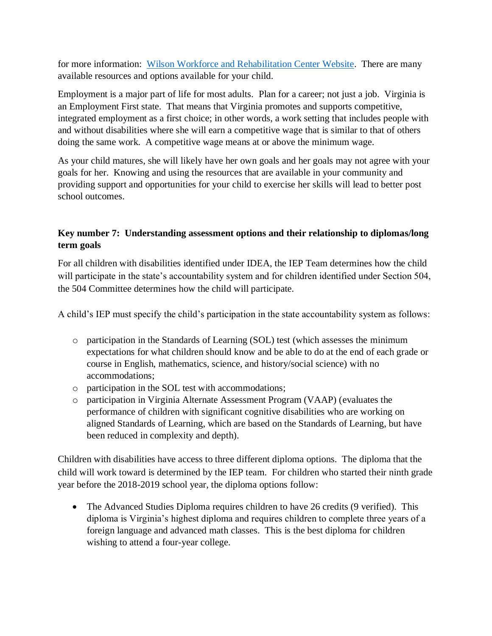for more information: [Wilson Workforce and Rehabilitation Center Website.](https://www.wwrc.net/) There are many available resources and options available for your child.

Employment is a major part of life for most adults. Plan for a career; not just a job. Virginia is an Employment First state. That means that Virginia promotes and supports competitive, integrated employment as a first choice; in other words, a work setting that includes people with and without disabilities where she will earn a competitive wage that is similar to that of others doing the same work. A competitive wage means at or above the minimum wage.

As your child matures, she will likely have her own goals and her goals may not agree with your goals for her. Knowing and using the resources that are available in your community and providing support and opportunities for your child to exercise her skills will lead to better post school outcomes.

### **Key number 7: Understanding assessment options and their relationship to diplomas/long term goals**

For all children with disabilities identified under IDEA, the IEP Team determines how the child will participate in the state's accountability system and for children identified under Section 504, the 504 Committee determines how the child will participate.

A child's IEP must specify the child's participation in the state accountability system as follows:

- o participation in the Standards of Learning (SOL) test (which assesses the minimum expectations for what children should know and be able to do at the end of each grade or course in English, mathematics, science, and history/social science) with no accommodations;
- o participation in the SOL test with accommodations;
- o participation in Virginia Alternate Assessment Program (VAAP) (evaluates the performance of children with significant cognitive disabilities who are working on aligned Standards of Learning, which are based on the Standards of Learning, but have been reduced in complexity and depth).

Children with disabilities have access to three different diploma options. The diploma that the child will work toward is determined by the IEP team. For children who started their ninth grade year before the 2018-2019 school year, the diploma options follow:

• The Advanced Studies Diploma requires children to have 26 credits (9 verified). This diploma is Virginia's highest diploma and requires children to complete three years of a foreign language and advanced math classes. This is the best diploma for children wishing to attend a four-year college.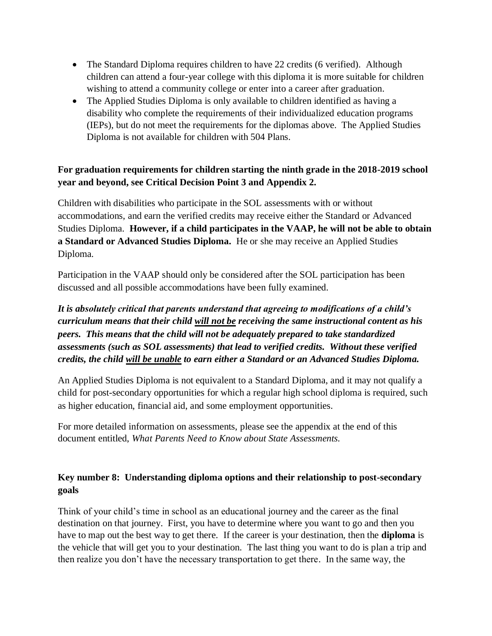- The Standard Diploma requires children to have 22 credits (6 verified). Although children can attend a four-year college with this diploma it is more suitable for children wishing to attend a community college or enter into a career after graduation.
- The Applied Studies Diploma is only available to children identified as having a disability who complete the requirements of their individualized education programs (IEPs), but do not meet the requirements for the diplomas above. The Applied Studies Diploma is not available for children with 504 Plans.

### **For graduation requirements for children starting the ninth grade in the 2018-2019 school year and beyond, see Critical Decision Point 3 and Appendix 2.**

Children with disabilities who participate in the SOL assessments with or without accommodations, and earn the verified credits may receive either the Standard or Advanced Studies Diploma. **However, if a child participates in the VAAP, he will not be able to obtain a Standard or Advanced Studies Diploma.** He or she may receive an Applied Studies Diploma.

Participation in the VAAP should only be considered after the SOL participation has been discussed and all possible accommodations have been fully examined.

*It is absolutely critical that parents understand that agreeing to modifications of a child's curriculum means that their child will not be receiving the same instructional content as his peers. This means that the child will not be adequately prepared to take standardized assessments (such as SOL assessments) that lead to verified credits. Without these verified credits, the child will be unable to earn either a Standard or an Advanced Studies Diploma.* 

An Applied Studies Diploma is not equivalent to a Standard Diploma, and it may not qualify a child for post-secondary opportunities for which a regular high school diploma is required, such as higher education, financial aid, and some employment opportunities.

For more detailed information on assessments, please see the appendix at the end of this document entitled, *What Parents Need to Know about State Assessments.*

### **Key number 8: Understanding diploma options and their relationship to post-secondary goals**

Think of your child's time in school as an educational journey and the career as the final destination on that journey. First, you have to determine where you want to go and then you have to map out the best way to get there. If the career is your destination, then the **diploma** is the vehicle that will get you to your destination. The last thing you want to do is plan a trip and then realize you don't have the necessary transportation to get there. In the same way, the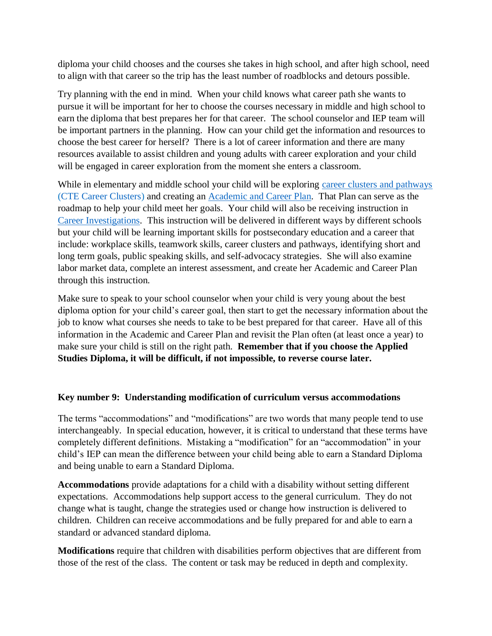diploma your child chooses and the courses she takes in high school, and after high school, need to align with that career so the trip has the least number of roadblocks and detours possible.

Try planning with the end in mind. When your child knows what career path she wants to pursue it will be important for her to choose the courses necessary in middle and high school to earn the diploma that best prepares her for that career. The school counselor and IEP team will be important partners in the planning. How can your child get the information and resources to choose the best career for herself? There is a lot of career information and there are many resources available to assist children and young adults with career exploration and your child will be engaged in career exploration from the moment she enters a classroom.

While in elementary and middle school your child will be exploring [career clusters and pathways](http://www.doe.virginia.gov/instruction/career_technical/career_clusters/index.shtml) (CTE Career Clusters) and creating an [Academic and Career Plan.](http://www.doe.virginia.gov/instruction/graduation/academic_career_plan/index.shtml) That Plan can serve as the roadmap to help your child meet her goals. Your child will also be receiving instruction in [Career Investigations.](http://www.cteresource.org/apg/courses/9068/career-investigations) This instruction will be delivered in different ways by different schools but your child will be learning important skills for postsecondary education and a career that include: workplace skills, teamwork skills, career clusters and pathways, identifying short and long term goals, public speaking skills, and self-advocacy strategies. She will also examine labor market data, complete an interest assessment, and create her Academic and Career Plan through this instruction.

Make sure to speak to your school counselor when your child is very young about the best diploma option for your child's career goal, then start to get the necessary information about the job to know what courses she needs to take to be best prepared for that career. Have all of this information in the Academic and Career Plan and revisit the Plan often (at least once a year) to make sure your child is still on the right path. **Remember that if you choose the Applied Studies Diploma, it will be difficult, if not impossible, to reverse course later.**

### **Key number 9: Understanding modification of curriculum versus accommodations**

The terms "accommodations" and "modifications" are two words that many people tend to use interchangeably. In special education, however, it is critical to understand that these terms have completely different definitions. Mistaking a "modification" for an "accommodation" in your child's IEP can mean the difference between your child being able to earn a Standard Diploma and being unable to earn a Standard Diploma.

**Accommodations** provide adaptations for a child with a disability without setting different expectations. Accommodations help support access to the general curriculum. They do not change what is taught, change the strategies used or change how instruction is delivered to children. Children can receive accommodations and be fully prepared for and able to earn a standard or advanced standard diploma.

**Modifications** require that children with disabilities perform objectives that are different from those of the rest of the class. The content or task may be reduced in depth and complexity.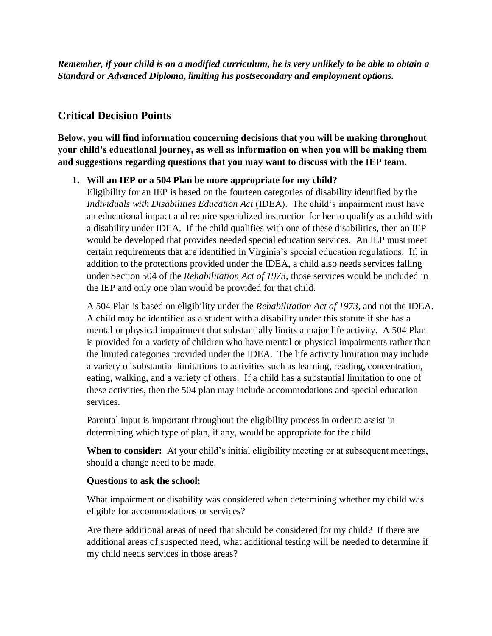*Remember, if your child is on a modified curriculum, he is very unlikely to be able to obtain a Standard or Advanced Diploma, limiting his postsecondary and employment options.*

## **Critical Decision Points**

**Below, you will find information concerning decisions that you will be making throughout your child's educational journey, as well as information on when you will be making them and suggestions regarding questions that you may want to discuss with the IEP team.**

### **1. Will an IEP or a 504 Plan be more appropriate for my child?**

Eligibility for an IEP is based on the fourteen categories of disability identified by the *Individuals with Disabilities Education Act* (IDEA). The child's impairment must have an educational impact and require specialized instruction for her to qualify as a child with a disability under IDEA. If the child qualifies with one of these disabilities, then an IEP would be developed that provides needed special education services. An IEP must meet certain requirements that are identified in Virginia's special education regulations. If, in addition to the protections provided under the IDEA, a child also needs services falling under Section 504 of the *Rehabilitation Act of 1973*, those services would be included in the IEP and only one plan would be provided for that child.

A 504 Plan is based on eligibility under the *Rehabilitation Act of 1973*, and not the IDEA. A child may be identified as a student with a disability under this statute if she has a mental or physical impairment that substantially limits a major life activity. A 504 Plan is provided for a variety of children who have mental or physical impairments rather than the limited categories provided under the IDEA. The life activity limitation may include a variety of substantial limitations to activities such as learning, reading, concentration, eating, walking, and a variety of others. If a child has a substantial limitation to one of these activities, then the 504 plan may include accommodations and special education services.

Parental input is important throughout the eligibility process in order to assist in determining which type of plan, if any, would be appropriate for the child.

**When to consider:** At your child's initial eligibility meeting or at subsequent meetings, should a change need to be made.

### **Questions to ask the school:**

What impairment or disability was considered when determining whether my child was eligible for accommodations or services?

Are there additional areas of need that should be considered for my child? If there are additional areas of suspected need, what additional testing will be needed to determine if my child needs services in those areas?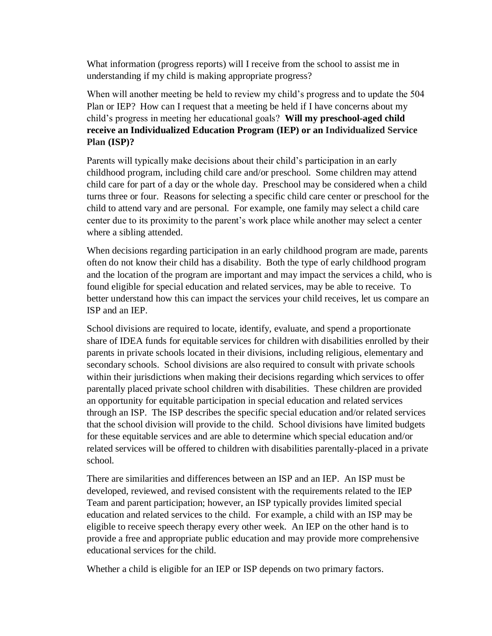What information (progress reports) will I receive from the school to assist me in understanding if my child is making appropriate progress?

When will another meeting be held to review my child's progress and to update the 504 Plan or IEP? How can I request that a meeting be held if I have concerns about my child's progress in meeting her educational goals? **Will my preschool-aged child receive an Individualized Education Program (IEP) or an Individualized Service Plan (ISP)?**

Parents will typically make decisions about their child's participation in an early childhood program, including child care and/or preschool. Some children may attend child care for part of a day or the whole day. Preschool may be considered when a child turns three or four. Reasons for selecting a specific child care center or preschool for the child to attend vary and are personal. For example, one family may select a child care center due to its proximity to the parent's work place while another may select a center where a sibling attended.

When decisions regarding participation in an early childhood program are made, parents often do not know their child has a disability. Both the type of early childhood program and the location of the program are important and may impact the services a child, who is found eligible for special education and related services, may be able to receive. To better understand how this can impact the services your child receives, let us compare an ISP and an IEP.

School divisions are required to locate, identify, evaluate, and spend a proportionate share of IDEA funds for equitable services for children with disabilities enrolled by their parents in private schools located in their divisions, including religious, elementary and secondary schools. School divisions are also required to consult with private schools within their jurisdictions when making their decisions regarding which services to offer parentally placed private school children with disabilities. These children are provided an opportunity for equitable participation in special education and related services through an ISP. The ISP describes the specific special education and/or related services that the school division will provide to the child. School divisions have limited budgets for these equitable services and are able to determine which special education and/or related services will be offered to children with disabilities parentally-placed in a private school.

There are similarities and differences between an ISP and an IEP. An ISP must be developed, reviewed, and revised consistent with the requirements related to the IEP Team and parent participation; however, an ISP typically provides limited special education and related services to the child. For example, a child with an ISP may be eligible to receive speech therapy every other week. An IEP on the other hand is to provide a free and appropriate public education and may provide more comprehensive educational services for the child.

Whether a child is eligible for an IEP or ISP depends on two primary factors.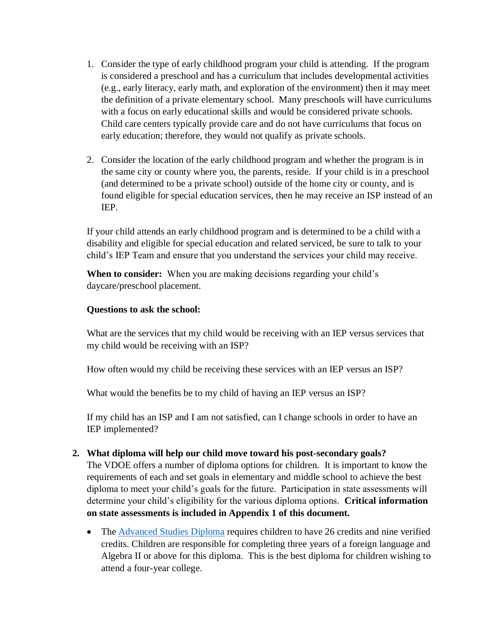- 1. Consider the type of early childhood program your child is attending. If the program is considered a preschool and has a curriculum that includes developmental activities (e.g., early literacy, early math, and exploration of the environment) then it may meet the definition of a private elementary school. Many preschools will have curriculums with a focus on early educational skills and would be considered private schools. Child care centers typically provide care and do not have curriculums that focus on early education; therefore, they would not qualify as private schools.
- 2. Consider the location of the early childhood program and whether the program is in the same city or county where you, the parents, reside. If your child is in a preschool (and determined to be a private school) outside of the home city or county, and is found eligible for special education services, then he may receive an ISP instead of an IEP.

If your child attends an early childhood program and is determined to be a child with a disability and eligible for special education and related serviced, be sure to talk to your child's IEP Team and ensure that you understand the services your child may receive.

**When to consider:** When you are making decisions regarding your child's daycare/preschool placement.

### **Questions to ask the school:**

What are the services that my child would be receiving with an IEP versus services that my child would be receiving with an ISP?

How often would my child be receiving these services with an IEP versus an ISP?

What would the benefits be to my child of having an IEP versus an ISP?

If my child has an ISP and I am not satisfied, can I change schools in order to have an IEP implemented?

### **2. What diploma will help our child move toward his post-secondary goals?**

The VDOE offers a number of diploma options for children. It is important to know the requirements of each and set goals in elementary and middle school to achieve the best diploma to meet your child's goals for the future. Participation in state assessments will determine your child's eligibility for the various diploma options. **Critical information on state assessments is included in Appendix 1 of this document.**

• The [Advanced Studies Diploma](http://www.doe.virginia.gov/instruction/graduation/advanced_studies.shtml) requires children to have 26 credits and nine verified credits. Children are responsible for completing three years of a foreign language and Algebra II or above for this diploma. This is the best diploma for children wishing to attend a four-year college.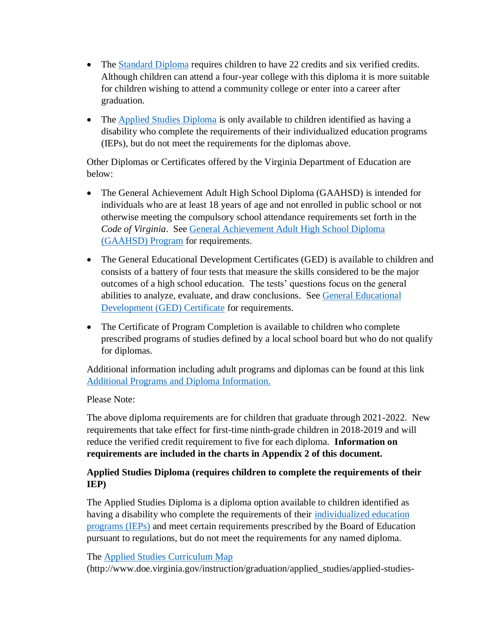- The [Standard Diploma](http://www.doe.virginia.gov/instruction/graduation/standard.shtml) requires children to have 22 credits and six verified credits. Although children can attend a four-year college with this diploma it is more suitable for children wishing to attend a community college or enter into a career after graduation.
- The [Applied Studies Diploma](http://www.doe.virginia.gov/instruction/graduation/applied_studies/index.shtml) is only available to children identified as having a disability who complete the requirements of their individualized education programs (IEPs), but do not meet the requirements for the diplomas above.

Other Diplomas or Certificates offered by the Virginia Department of Education are below:

- The General Achievement Adult High School Diploma (GAAHSD) is intended for individuals who are at least 18 years of age and not enrolled in public school or not otherwise meeting the compulsory school attendance requirements set forth in the *Code of Virginia*. See [General Achievement Adult High School Diploma](http://www.doe.virginia.gov/instruction/adulted/secondary_programs/index.shtml#gaahsd)  [\(GAAHSD\) Program](http://www.doe.virginia.gov/instruction/adulted/secondary_programs/index.shtml#gaahsd) for requirements.
- The General Educational Development Certificates (GED) is available to children and consists of a battery of four tests that measure the skills considered to be the major outcomes of a high school education. The tests' questions focus on the general abilities to analyze, evaluate, and draw conclusions. See [General Educational](http://www.doe.virginia.gov/instruction/adulted/ged/index.shtml)  [Development \(GED\) Certificate](http://www.doe.virginia.gov/instruction/adulted/ged/index.shtml) for requirements.
- The Certificate of Program Completion is available to children who complete prescribed programs of studies defined by a local school board but who do not qualify for diplomas.

Additional information including adult programs and diplomas can be found at this link [Additional Programs and Diploma Information.](http://www.doe.virginia.gov/instruction/adulted/secondary_programs/index.shtml#gaahsd)

### Please Note:

The above diploma requirements are for children that graduate through 2021-2022. New requirements that take effect for first-time ninth-grade children in 2018-2019 and will reduce the verified credit requirement to five for each diploma. **Information on requirements are included in the charts in Appendix 2 of this document.**

### **Applied Studies Diploma (requires children to complete the requirements of their IEP)**

The Applied Studies Diploma is a diploma option available to children identified as having a disability who complete the requirements of their [individualized education](http://www.doe.virginia.gov/special_ed/iep_instruct_svcs/index.shtml)  [programs \(IEPs\)](http://www.doe.virginia.gov/special_ed/iep_instruct_svcs/index.shtml) and meet certain requirements prescribed by the Board of Education pursuant to regulations, but do not meet the requirements for any named diploma.

### The [Applied Studies Curriculum Map](http://www.doe.virginia.gov/instruction/graduation/applied_studies/applied-studies-curriculum-map.pdf)

(http://www.doe.virginia.gov/instruction/graduation/applied\_studies/applied-studies-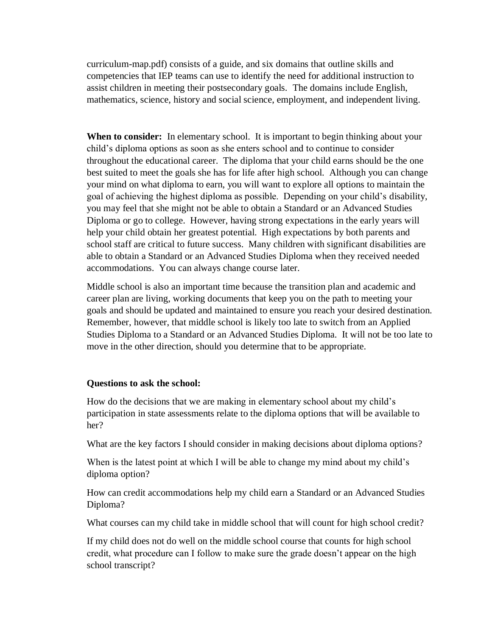curriculum-map.pdf) consists of a guide, and six domains that outline skills and competencies that IEP teams can use to identify the need for additional instruction to assist children in meeting their postsecondary goals. The domains include English, mathematics, science, history and social science, employment, and independent living.

When to consider: In elementary school. It is important to begin thinking about your child's diploma options as soon as she enters school and to continue to consider throughout the educational career. The diploma that your child earns should be the one best suited to meet the goals she has for life after high school. Although you can change your mind on what diploma to earn, you will want to explore all options to maintain the goal of achieving the highest diploma as possible. Depending on your child's disability, you may feel that she might not be able to obtain a Standard or an Advanced Studies Diploma or go to college. However, having strong expectations in the early years will help your child obtain her greatest potential. High expectations by both parents and school staff are critical to future success. Many children with significant disabilities are able to obtain a Standard or an Advanced Studies Diploma when they received needed accommodations. You can always change course later.

Middle school is also an important time because the transition plan and academic and career plan are living, working documents that keep you on the path to meeting your goals and should be updated and maintained to ensure you reach your desired destination. Remember, however, that middle school is likely too late to switch from an Applied Studies Diploma to a Standard or an Advanced Studies Diploma. It will not be too late to move in the other direction, should you determine that to be appropriate.

#### **Questions to ask the school:**

How do the decisions that we are making in elementary school about my child's participation in state assessments relate to the diploma options that will be available to her?

What are the key factors I should consider in making decisions about diploma options?

When is the latest point at which I will be able to change my mind about my child's diploma option?

How can credit accommodations help my child earn a Standard or an Advanced Studies Diploma?

What courses can my child take in middle school that will count for high school credit?

If my child does not do well on the middle school course that counts for high school credit, what procedure can I follow to make sure the grade doesn't appear on the high school transcript?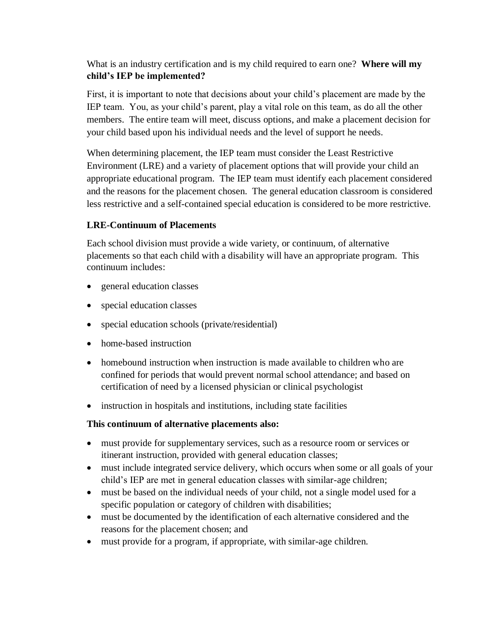### What is an industry certification and is my child required to earn one? **Where will my child's IEP be implemented?**

First, it is important to note that decisions about your child's placement are made by the IEP team. You, as your child's parent, play a vital role on this team, as do all the other members. The entire team will meet, discuss options, and make a placement decision for your child based upon his individual needs and the level of support he needs.

When determining placement, the IEP team must consider the Least Restrictive Environment (LRE) and a variety of placement options that will provide your child an appropriate educational program. The IEP team must identify each placement considered and the reasons for the placement chosen. The general education classroom is considered less restrictive and a self-contained special education is considered to be more restrictive.

### **LRE-Continuum of Placements**

Each school division must provide a wide variety, or continuum, of alternative placements so that each child with a disability will have an appropriate program. This continuum includes:

- general education classes
- special education classes
- special education schools (private/residential)
- home-based instruction
- homebound instruction when instruction is made available to children who are confined for periods that would prevent normal school attendance; and based on certification of need by a licensed physician or clinical psychologist
- instruction in hospitals and institutions, including state facilities

### **This continuum of alternative placements also:**

- must provide for supplementary services, such as a resource room or services or itinerant instruction, provided with general education classes;
- must include integrated service delivery, which occurs when some or all goals of your child's IEP are met in general education classes with similar-age children;
- must be based on the individual needs of your child, not a single model used for a specific population or category of children with disabilities;
- must be documented by the identification of each alternative considered and the reasons for the placement chosen; and
- must provide for a program, if appropriate, with similar-age children.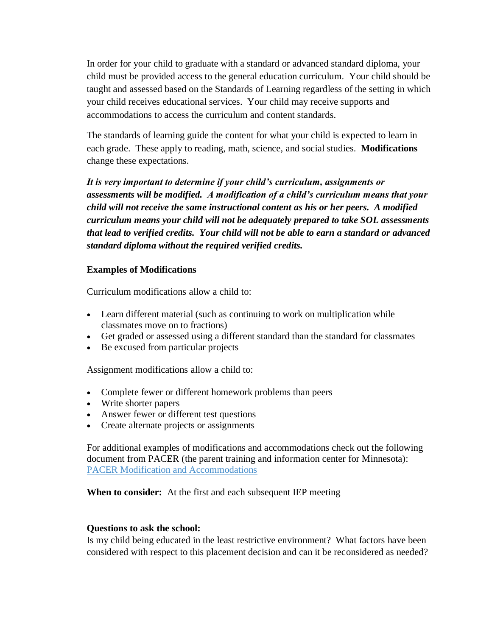In order for your child to graduate with a standard or advanced standard diploma, your child must be provided access to the general education curriculum. Your child should be taught and assessed based on the Standards of Learning regardless of the setting in which your child receives educational services. Your child may receive supports and accommodations to access the curriculum and content standards.

The standards of learning guide the content for what your child is expected to learn in each grade. These apply to reading, math, science, and social studies. **Modifications** change these expectations.

*It is very important to determine if your child's curriculum, assignments or assessments will be modified. A modification of a child's curriculum means that your child will not receive the same instructional content as his or her peers. A modified curriculum means your child will not be adequately prepared to take SOL assessments that lead to verified credits. Your child will not be able to earn a standard or advanced standard diploma without the required verified credits.*

#### **Examples of Modifications**

Curriculum modifications allow a child to:

- Learn different material (such as continuing to work on multiplication while classmates move on to fractions)
- Get graded or assessed using a different standard than the standard for classmates
- Be excused from particular projects

Assignment [modifications](javascript:void(0);) allow a child to:

- Complete fewer or different homework problems than peers
- Write shorter papers
- Answer fewer or different test questions
- Create alternate projects or assignments

For additional examples of modifications and accommodations check out the following document from PACER (the parent training and information center for Minnesota): [PACER Modification and Accommodations](https://www.pacer.org/parent/)

**When to consider:** At the first and each subsequent IEP meeting

#### **Questions to ask the school:**

Is my child being educated in the least restrictive environment? What factors have been considered with respect to this placement decision and can it be reconsidered as needed?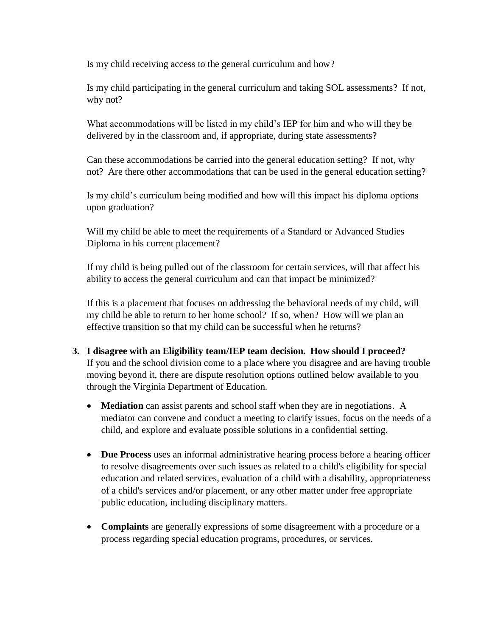Is my child receiving access to the general curriculum and how?

Is my child participating in the general curriculum and taking SOL assessments? If not, why not?

What accommodations will be listed in my child's IEP for him and who will they be delivered by in the classroom and, if appropriate, during state assessments?

Can these accommodations be carried into the general education setting? If not, why not? Are there other accommodations that can be used in the general education setting?

Is my child's curriculum being modified and how will this impact his diploma options upon graduation?

Will my child be able to meet the requirements of a Standard or Advanced Studies Diploma in his current placement?

If my child is being pulled out of the classroom for certain services, will that affect his ability to access the general curriculum and can that impact be minimized?

If this is a placement that focuses on addressing the behavioral needs of my child, will my child be able to return to her home school? If so, when? How will we plan an effective transition so that my child can be successful when he returns?

- **3. I disagree with an Eligibility team/IEP team decision. How should I proceed?** If you and the school division come to a place where you disagree and are having trouble moving beyond it, there are dispute resolution options outlined below available to you through the Virginia Department of Education.
	- **Mediation** can assist parents and school staff when they are in negotiations. A mediator can convene and conduct a meeting to clarify issues, focus on the needs of a child, and explore and evaluate possible solutions in a confidential setting.
	- **Due Process** uses an informal administrative hearing process before a hearing officer to resolve disagreements over such issues as related to a child's eligibility for special education and related services, evaluation of a child with a disability, appropriateness of a child's services and/or placement, or any other matter under free appropriate public education, including disciplinary matters.
	- **Complaints** are generally expressions of some disagreement with a procedure or a process regarding special education programs, procedures, or services.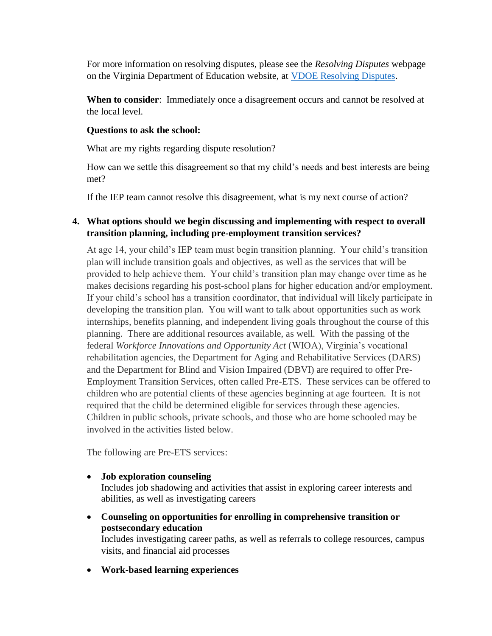For more information on resolving disputes, please see the *Resolving Disputes* webpage on the Virginia Department of Education website, at [VDOE Resolving Disputes.](http://doe.virginia.gov/special_ed/resolving_disputes/index.shtml)

**When to consider**: Immediately once a disagreement occurs and cannot be resolved at the local level.

### **Questions to ask the school:**

What are my rights regarding dispute resolution?

How can we settle this disagreement so that my child's needs and best interests are being met?

If the IEP team cannot resolve this disagreement, what is my next course of action?

### **4. What options should we begin discussing and implementing with respect to overall transition planning, including pre-employment transition services?**

At age 14, your child's IEP team must begin transition planning. Your child's transition plan will include transition goals and objectives, as well as the services that will be provided to help achieve them. Your child's transition plan may change over time as he makes decisions regarding his post-school plans for higher education and/or employment. If your child's school has a transition coordinator, that individual will likely participate in developing the transition plan. You will want to talk about opportunities such as work internships, benefits planning, and independent living goals throughout the course of this planning. There are additional resources available, as well. With the passing of the federal *Workforce Innovations and Opportunity Act* (WIOA), Virginia's vocational rehabilitation agencies, the Department for Aging and Rehabilitative Services (DARS) and the Department for Blind and Vision Impaired (DBVI) are required to offer Pre-Employment Transition Services, often called Pre-ETS. These services can be offered to children who are potential clients of these agencies beginning at age fourteen. It is not required that the child be determined eligible for services through these agencies. Children in public schools, private schools, and those who are home schooled may be involved in the activities listed below.

The following are Pre-ETS services:

• **Job exploration counseling**

Includes job shadowing and activities that assist in exploring career interests and abilities, as well as investigating careers

- **Counseling on opportunities for enrolling in comprehensive transition or postsecondary education** Includes investigating career paths, as well as referrals to college resources, campus
- **Work-based learning experiences**

visits, and financial aid processes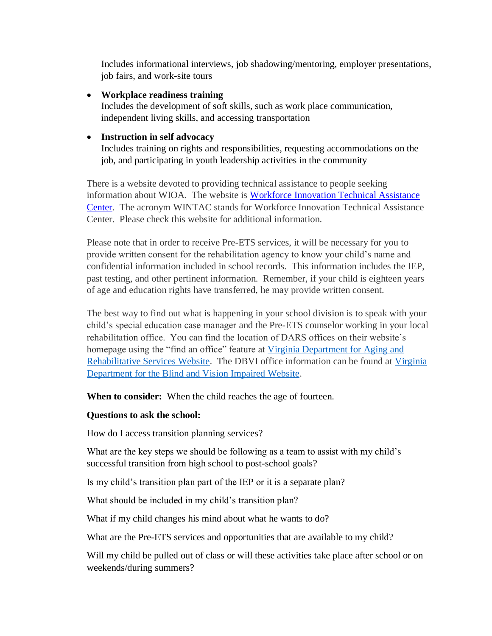Includes informational interviews, job shadowing/mentoring, employer presentations, job fairs, and work-site tours

#### • **Workplace readiness training**

Includes the development of soft skills, such as work place communication, independent living skills, and accessing transportation

### • **Instruction in self advocacy**

Includes training on rights and responsibilities, requesting accommodations on the job, and participating in youth leadership activities in the community

There is a website devoted to providing technical assistance to people seeking information about WIOA. The website is [Workforce Innovation Technical Assistance](http://www.wintac.org/)  [Center.](http://www.wintac.org/) The acronym WINTAC stands for Workforce Innovation Technical Assistance Center. Please check this website for additional information.

Please note that in order to receive Pre-ETS services, it will be necessary for you to provide written consent for the rehabilitation agency to know your child's name and confidential information included in school records. This information includes the IEP, past testing, and other pertinent information. Remember, if your child is eighteen years of age and education rights have transferred, he may provide written consent.

The best way to find out what is happening in your school division is to speak with your child's special education case manager and the Pre-ETS counselor working in your local rehabilitation office. You can find the location of DARS offices on their website's homepage using the "find an office" feature at Virginia Department for Aging and [Rehabilitative Services Website.](https://www.vadars.org/) The DBVI office information can be found at [Virginia](https://www.vdbvi.org/)  [Department for the Blind and Vision Impaired Website.](https://www.vdbvi.org/)

**When to consider:** When the child reaches the age of fourteen.

### **Questions to ask the school:**

How do I access transition planning services?

What are the key steps we should be following as a team to assist with my child's successful transition from high school to post-school goals?

Is my child's transition plan part of the IEP or it is a separate plan?

What should be included in my child's transition plan?

What if my child changes his mind about what he wants to do?

What are the Pre-ETS services and opportunities that are available to my child?

Will my child be pulled out of class or will these activities take place after school or on weekends/during summers?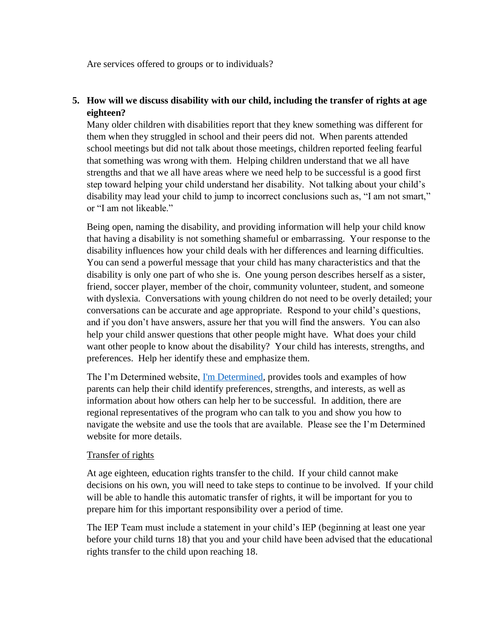Are services offered to groups or to individuals?

### **5. How will we discuss disability with our child, including the transfer of rights at age eighteen?**

Many older children with disabilities report that they knew something was different for them when they struggled in school and their peers did not. When parents attended school meetings but did not talk about those meetings, children reported feeling fearful that something was wrong with them. Helping children understand that we all have strengths and that we all have areas where we need help to be successful is a good first step toward helping your child understand her disability. Not talking about your child's disability may lead your child to jump to incorrect conclusions such as, "I am not smart," or "I am not likeable."

Being open, naming the disability, and providing information will help your child know that having a disability is not something shameful or embarrassing. Your response to the disability influences how your child deals with her differences and learning difficulties. You can send a powerful message that your child has many characteristics and that the disability is only one part of who she is. One young person describes herself as a sister, friend, soccer player, member of the choir, community volunteer, student, and someone with dyslexia. Conversations with young children do not need to be overly detailed; your conversations can be accurate and age appropriate. Respond to your child's questions, and if you don't have answers, assure her that you will find the answers. You can also help your child answer questions that other people might have. What does your child want other people to know about the disability? Your child has interests, strengths, and preferences. Help her identify these and emphasize them.

The I'm Determined website, [I'm Determined,](http://www.imdetermined.org/) provides tools and examples of how parents can help their child identify preferences, strengths, and interests, as well as information about how others can help her to be successful. In addition, there are regional representatives of the program who can talk to you and show you how to navigate the website and use the tools that are available. Please see the I'm Determined website for more details.

### Transfer of rights

At age eighteen, education rights transfer to the child. If your child cannot make decisions on his own, you will need to take steps to continue to be involved. If your child will be able to handle this automatic transfer of rights, it will be important for you to prepare him for this important responsibility over a period of time.

The IEP Team must include a statement in your child's IEP (beginning at least one year before your child turns 18) that you and your child have been advised that the educational rights transfer to the child upon reaching 18.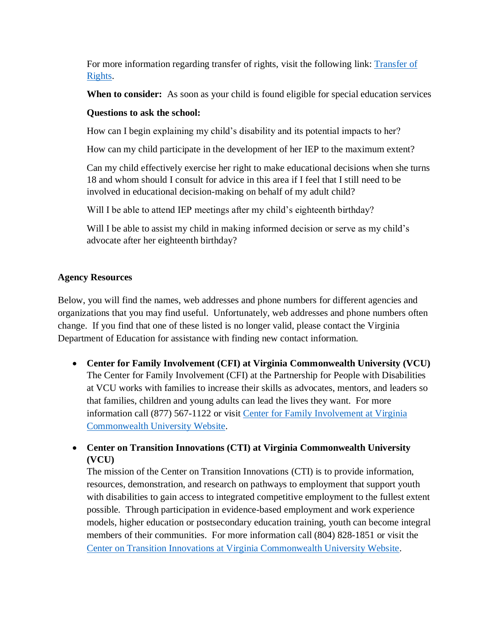For more information regarding transfer of rights, visit the following link: [Transfer of](http://www.doe.virginia.gov/special_ed/regulations/state/transfer_rights_students_disabilities.pdf)  [Rights.](http://www.doe.virginia.gov/special_ed/regulations/state/transfer_rights_students_disabilities.pdf)

**When to consider:** As soon as your child is found eligible for special education services

### **Questions to ask the school:**

How can I begin explaining my child's disability and its potential impacts to her?

How can my child participate in the development of her IEP to the maximum extent?

Can my child effectively exercise her right to make educational decisions when she turns 18 and whom should I consult for advice in this area if I feel that I still need to be involved in educational decision-making on behalf of my adult child?

Will I be able to attend IEP meetings after my child's eighteenth birthday?

Will I be able to assist my child in making informed decision or serve as my child's advocate after her eighteenth birthday?

### **Agency Resources**

Below, you will find the names, web addresses and phone numbers for different agencies and organizations that you may find useful. Unfortunately, web addresses and phone numbers often change. If you find that one of these listed is no longer valid, please contact the Virginia Department of Education for assistance with finding new contact information.

- **Center for Family Involvement (CFI) at Virginia Commonwealth University (VCU)** The Center for Family Involvement (CFI) at the Partnership for People with Disabilities at VCU works with families to increase their skills as advocates, mentors, and leaders so that families, children and young adults can lead the lives they want. For more information call (877) 567-1122 or visit [Center for Family Involvement at Virginia](https://centerforfamilyinvolvement.vcu.edu/)  [Commonwealth University Website.](https://centerforfamilyinvolvement.vcu.edu/)
- **Center on Transition Innovations (CTI) at Virginia Commonwealth University (VCU)**

The mission of the Center on Transition Innovations (CTI) is to provide information, resources, demonstration, and research on pathways to employment that support youth with disabilities to gain access to integrated competitive employment to the fullest extent possible. Through participation in evidence-based employment and work experience models, higher education or postsecondary education training, youth can become integral members of their communities. For more information call (804) 828-1851 or visit the [Center on Transition Innovations at Virginia Commonwealth University Website.](https://centerontransition.org/)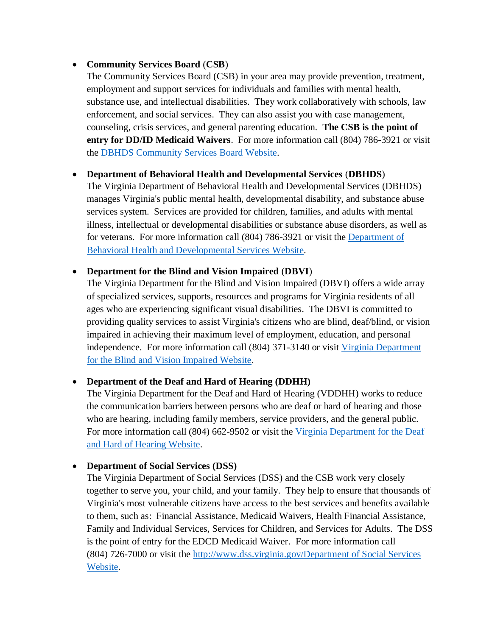### • **Community Services Board** (**CSB**)

The Community Services Board (CSB) in your area may provide prevention, treatment, employment and support services for individuals and families with mental health, substance use, and intellectual disabilities. They work collaboratively with schools, law enforcement, and social services. They can also assist you with case management, counseling, crisis services, and general parenting education. **The CSB is the point of entry for DD/ID Medicaid Waivers**. For more information call (804) 786-3921 or visit the [DBHDS Community Services Board Website.](http://www.dbhds.virginia.gov/individuals-and-families/community-services-boards)

### • **[Department of Behavioral Health and Developmental Services](http://www.dbhds.virginia.gov/)** (**DBHDS**)

The Virginia Department of Behavioral Health and Developmental Services (DBHDS) manages Virginia's public mental health, developmental disability, and substance abuse services system. Services are provided for children, families, and adults with mental illness, intellectual or developmental disabilities or substance abuse disorders, as well as for veterans. For more information call (804) 786-3921 or visit the [Department of](http://www.dbhds.virginia.gov/)  [Behavioral Health and Developmental](http://www.dbhds.virginia.gov/) Services Website.

### • **[Department for the Blind and Vision Impaired](http://www.vdbvi.org/services.htm)** (**DBVI**)

The Virginia Department for the Blind and Vision Impaired (DBVI) offers a wide array of specialized services, supports, resources and programs for Virginia residents of all ages who are experiencing significant visual disabilities. The DBVI is committed to providing quality services to assist Virginia's citizens who are blind, deaf/blind, or vision impaired in achieving their maximum level of employment, education, and personal independence. For more information call (804) 371-3140 or visit [Virginia Department](https://www.vdbvi.org/)  [for the Blind and Vision Impaired Website.](https://www.vdbvi.org/)

### • **Department of the Deaf and Hard of Hearing (DDHH)**

The Virginia Department for the Deaf and Hard of Hearing (VDDHH) works to reduce the communication barriers between persons who are deaf or hard of hearing and those who are hearing, including family members, service providers, and the general public. For more information call (804) 662-9502 or visit the Virginia Department for the Deaf [and Hard of Hearing Website.](https://www.vddhh.org/)

### • **[Department of Social Services \(DSS\)](http://hanovercounty.gov/Social-Services/881/)**

The Virginia Department of Social Services (DSS) and the CSB work very closely together to serve you, your child, and your family. They help to ensure that thousands of Virginia's most vulnerable citizens have access to the best services and benefits available to them, such as: Financial Assistance, Medicaid Waivers, Health Financial Assistance, Family and Individual Services, Services for Children, and Services for Adults. The DSS is the point of entry for the EDCD Medicaid Waiver. For more information call (804) 726-7000 or visit the [http://www.dss.virginia.gov/Department of Social Services](http://www.dss.virginia.gov/)  [Website.](http://www.dss.virginia.gov/)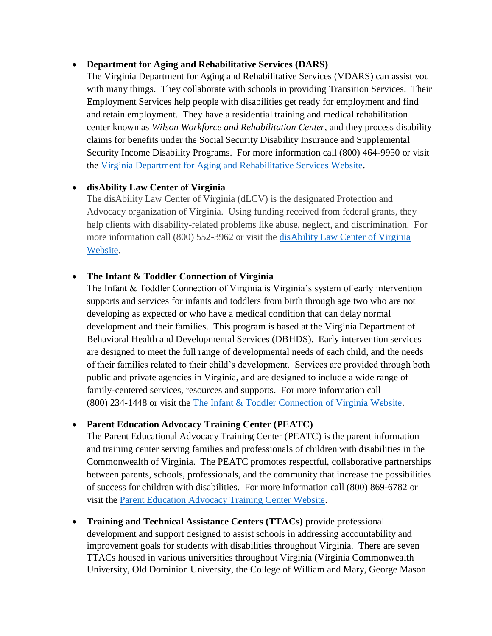#### • **[Department for Aging and Rehabilitative Services \(DARS\)](http://www.vadrs.org/services.htm#disabilities)**

The Virginia Department for Aging and Rehabilitative Services (VDARS) can assist you with many things. They collaborate with schools in providing [Transition Services.](http://www.vadars.org/transitionservices.htm) Their Employment Services help people with disabilities get ready for employment and find and retain employment. They have a residential training and medical rehabilitation center known as *[Wilson Workforce and Rehabilitation Center](http://wwrc.virginia.gov/)*, and they process disability claims for benefits under the Social Security Disability Insurance and Supplemental Security Income Disability Programs. For more information call (800) 464-9950 or visit the [Virginia Department for Aging and Rehabilitative Services Website.](https://www.vadars.org/)

### • **disAbility Law Center of Virginia**

The disAbility Law Center of Virginia (dLCV) is the designated Protection and Advocacy organization of Virginia. Using funding received from federal grants, they help clients with disability-related problems like abuse, neglect, and discrimination. For more information call (800) 552-3962 or visit the [disAbility Law Center of Virginia](http://dlcv.org/)  [Website.](http://dlcv.org/)

### • **The Infant & Toddler Connection of Virginia**

The Infant & Toddler Connection of Virginia is Virginia's system of early intervention supports and services for infants and toddlers from birth through age two who are not developing as expected or who have a medical condition that can delay normal development and their families. This program is based at the Virginia Department of Behavioral Health and Developmental Services (DBHDS). Early intervention services are designed to meet the full range of developmental needs of each child, and the needs of their families related to their child's development. Services are provided through both public and private agencies in Virginia, and are designed to include a wide range of family-centered services, resources and supports. For more information call (800) 234-1448 or visit the [The Infant & Toddler Connection of Virginia Website.](http://www.infantva.org/)

#### • **Parent Education Advocacy Training Center (PEATC)**

The Parent Educational Advocacy Training Center (PEATC) is the parent information and training center serving families and professionals of children with disabilities in the Commonwealth of Virginia. The PEATC promotes respectful, collaborative partnerships between parents, schools, professionals, and the community that increase the possibilities of success for children with disabilities. For more information call (800) 869-6782 or visit the [Parent Education Advocacy Training Center Website.](http://www.peatc.org/)

• **Training and Technical Assistance Centers (TTACs)** provide professional development and support designed to assist schools in addressing accountability and improvement goals for students with disabilities throughout Virginia. There are seven TTACs housed in various universities throughout Virginia (Virginia Commonwealth University, Old Dominion University, the College of William and Mary, George Mason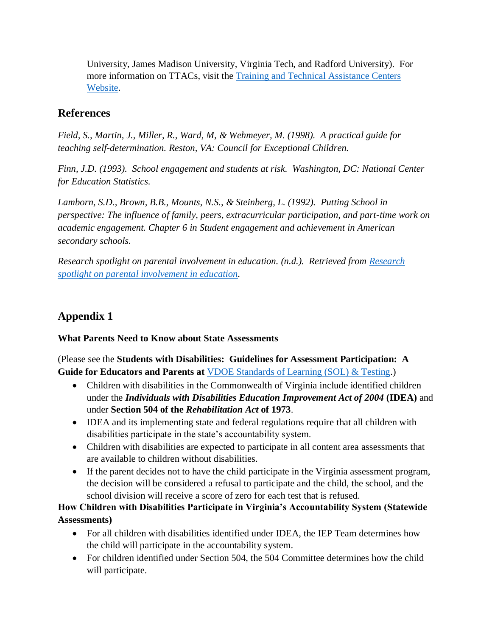University, James Madison University, Virginia Tech, and Radford University). For more information on TTACs, visit the [Training and Technical Assistance Centers](http://www.ttaconline.org/)  [Website.](http://www.ttaconline.org/)

## **References**

*Field, S., Martin, J., Miller, R., Ward, M, & Wehmeyer, M. (1998). A practical guide for teaching self-determination. Reston, VA: Council for Exceptional Children.*

*Finn, J.D. (1993). School engagement and students at risk. Washington, DC: National Center for Education Statistics.*

*Lamborn, S.D., Brown, B.B., Mounts, N.S., & Steinberg, L. (1992). Putting School in perspective: The influence of family, peers, extracurricular participation, and part-time work on academic engagement. Chapter 6 in Student engagement and achievement in American secondary schools.*

*Research spotlight on parental involvement in education. (n.d.). Retrieved from [Research](http://www.nea.org/)  [spotlight on parental involvement in education.](http://www.nea.org/)*

## **Appendix 1**

**What Parents Need to Know about State Assessments** 

(Please see the **Students with Disabilities: Guidelines for Assessment Participation: A Guide for Educators and Parents at** [VDOE Standards of Learning \(SOL\) & Testing.](http://doe.virginia.gov/testing/participation/index.shtml))

- Children with disabilities in the Commonwealth of Virginia include identified children under the *Individuals with Disabilities Education Improvement Act of 2004* **(IDEA)** and under **Section 504 of the** *Rehabilitation Act* **of 1973**.
- IDEA and its implementing state and federal regulations require that all children with disabilities participate in the state's accountability system.
- Children with disabilities are expected to participate in all content area assessments that are available to children without disabilities.
- If the parent decides not to have the child participate in the Virginia assessment program, the decision will be considered a refusal to participate and the child, the school, and the school division will receive a score of zero for each test that is refused.

**How Children with Disabilities Participate in Virginia's Accountability System (Statewide Assessments)**

- For all children with disabilities identified under IDEA, the IEP Team determines how the child will participate in the accountability system.
- For children identified under Section 504, the 504 Committee determines how the child will participate.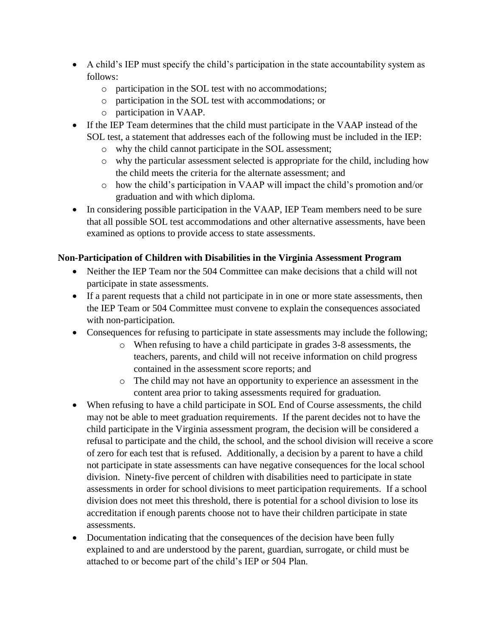- A child's IEP must specify the child's participation in the state accountability system as follows:
	- o participation in the SOL test with no accommodations;
	- o participation in the SOL test with accommodations; or
	- o participation in VAAP.
- If the IEP Team determines that the child must participate in the VAAP instead of the SOL test, a statement that addresses each of the following must be included in the IEP:
	- o why the child cannot participate in the SOL assessment;
	- o why the particular assessment selected is appropriate for the child, including how the child meets the criteria for the alternate assessment; and
	- o how the child's participation in VAAP will impact the child's promotion and/or graduation and with which diploma.
- In considering possible participation in the VAAP, IEP Team members need to be sure that all possible SOL test accommodations and other alternative assessments, have been examined as options to provide access to state assessments.

### **Non-Participation of Children with Disabilities in the Virginia Assessment Program**

- Neither the IEP Team nor the 504 Committee can make decisions that a child will not participate in state assessments.
- If a parent requests that a child not participate in in one or more state assessments, then the IEP Team or 504 Committee must convene to explain the consequences associated with non-participation.
- Consequences for refusing to participate in state assessments may include the following;
	- o When refusing to have a child participate in grades 3-8 assessments, the teachers, parents, and child will not receive information on child progress contained in the assessment score reports; and
	- o The child may not have an opportunity to experience an assessment in the content area prior to taking assessments required for graduation.
- When refusing to have a child participate in SOL End of Course assessments, the child may not be able to meet graduation requirements. If the parent decides not to have the child participate in the Virginia assessment program, the decision will be considered a refusal to participate and the child, the school, and the school division will receive a score of zero for each test that is refused. Additionally, a decision by a parent to have a child not participate in state assessments can have negative consequences for the local school division. Ninety-five percent of children with disabilities need to participate in state assessments in order for school divisions to meet participation requirements. If a school division does not meet this threshold, there is potential for a school division to lose its accreditation if enough parents choose not to have their children participate in state assessments.
- Documentation indicating that the consequences of the decision have been fully explained to and are understood by the parent, guardian, surrogate, or child must be attached to or become part of the child's IEP or 504 Plan.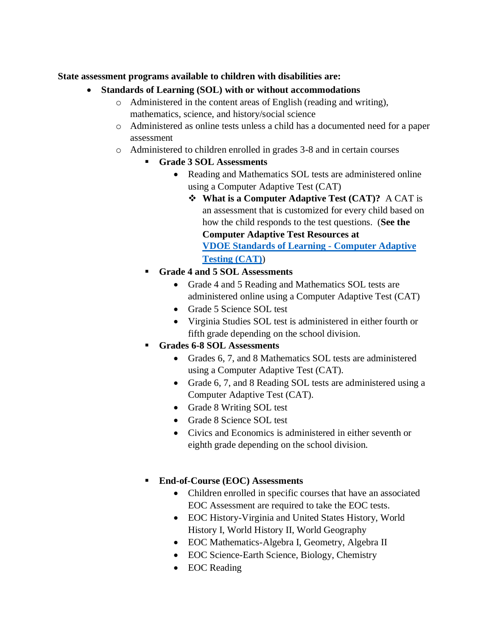#### **State assessment programs available to children with disabilities are:**

- **Standards of Learning (SOL) with or without accommodations**
	- o Administered in the content areas of English (reading and writing), mathematics, science, and history/social science
	- o Administered as online tests unless a child has a documented need for a paper assessment
	- o Administered to children enrolled in grades 3-8 and in certain courses
		- **Grade 3 SOL Assessments**
			- Reading and Mathematics SOL tests are administered online using a Computer Adaptive Test (CAT)
				- ❖ **What is a Computer Adaptive Test (CAT)?** A CAT is an assessment that is customized for every child based on how the child responds to the test questions. (**See the**

**Computer Adaptive Test Resources at [VDOE Standards of Learning -](http://www.doe.virginia.gov/testing/test_administration/cat/index.shtml) Computer Adaptive [Testing \(CAT\)](http://www.doe.virginia.gov/testing/test_administration/cat/index.shtml)**)

- **Grade 4 and 5 SOL Assessments**
	- Grade 4 and 5 Reading and Mathematics SOL tests are administered online using a Computer Adaptive Test (CAT)
	- Grade 5 Science SOL test
	- Virginia Studies SOL test is administered in either fourth or fifth grade depending on the school division.
- Grades **6-8 SOL Assessments** 
	- Grades 6, 7, and 8 Mathematics SOL tests are administered using a Computer Adaptive Test (CAT).
	- Grade 6, 7, and 8 Reading SOL tests are administered using a Computer Adaptive Test (CAT).
	- Grade 8 Writing SOL test
	- Grade 8 Science SOL test
	- Civics and Economics is administered in either seventh or eighth grade depending on the school division.
- **End-of-Course (EOC) Assessments**
	- Children enrolled in specific courses that have an associated EOC Assessment are required to take the EOC tests.
	- EOC History-Virginia and United States History, World History I, World History II, World Geography
	- EOC Mathematics-Algebra I, Geometry, Algebra II
	- EOC Science-Earth Science, Biology, Chemistry
	- EOC Reading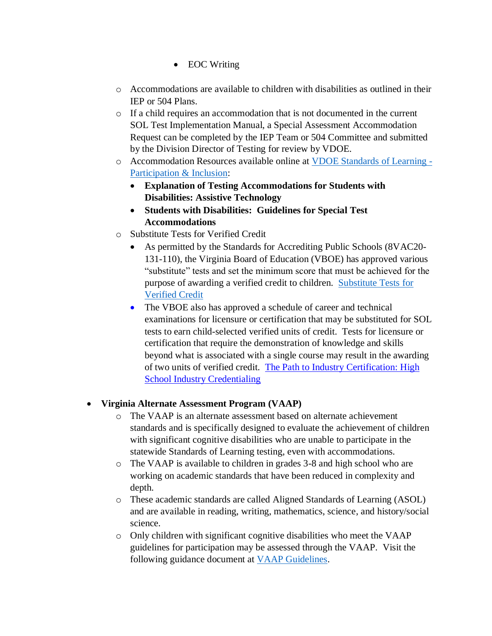- EOC Writing
- $\circ$  Accommodations are available to children with disabilities as outlined in their IEP or 504 Plans.
- $\circ$  If a child requires an accommodation that is not documented in the current SOL Test Implementation Manual, a Special Assessment Accommodation Request can be completed by the IEP Team or 504 Committee and submitted by the Division Director of Testing for review by VDOE.
- o Accommodation Resources available online at [VDOE Standards of Learning -](http://www.doe.virginia.gov/testing/participation/index.shtml) [Participation & Inclusion:](http://www.doe.virginia.gov/testing/participation/index.shtml)
	- **Explanation of Testing Accommodations for Students with Disabilities: Assistive Technology**
	- **Students with Disabilities: Guidelines for Special Test Accommodations**
- o Substitute Tests for Verified Credit
	- As permitted by the Standards for Accrediting Public Schools (8VAC20- 131-110), the Virginia Board of Education (VBOE) has approved various "substitute" tests and set the minimum score that must be achieved for the purpose of awarding a verified credit to children[. Substitute Tests for](http://www.doe.virginia.gov/testing/substitute_tests/index.shtml)  [Verified Credit](http://www.doe.virginia.gov/testing/substitute_tests/index.shtml)
	- The VBOE also has approved a schedule of career and technical examinations for licensure or certification that may be substituted for SOL tests to earn child-selected verified units of credit. Tests for licensure or certification that require the demonstration of knowledge and skills beyond what is associated with a single course may result in the awarding of two units of verified credit. The Path [to Industry Certification: High](http://www.doe.virginia.gov/instruction/career_technical/path_industry_certification/index.shtml)  [School Industry Credentialing](http://www.doe.virginia.gov/instruction/career_technical/path_industry_certification/index.shtml)

### • **Virginia Alternate Assessment Program (VAAP)**

- o The VAAP is an alternate assessment based on alternate achievement standards and is specifically designed to evaluate the achievement of children with significant cognitive disabilities who are unable to participate in the statewide Standards of Learning testing, even with accommodations.
- o The VAAP is available to children in grades 3-8 and high school who are working on academic standards that have been reduced in complexity and depth.
- o These academic standards are called Aligned Standards of Learning (ASOL) and are available in reading, writing, mathematics, science, and history/social science.
- o Only children with significant cognitive disabilities who meet the VAAP guidelines for participation may be assessed through the VAAP. Visit the following guidance document at [VAAP Guidelines.](http://doe.virginia.gov/special_ed/disabilities/intellectual_disability/guidance_significant_cognitive_disabilties.pdf)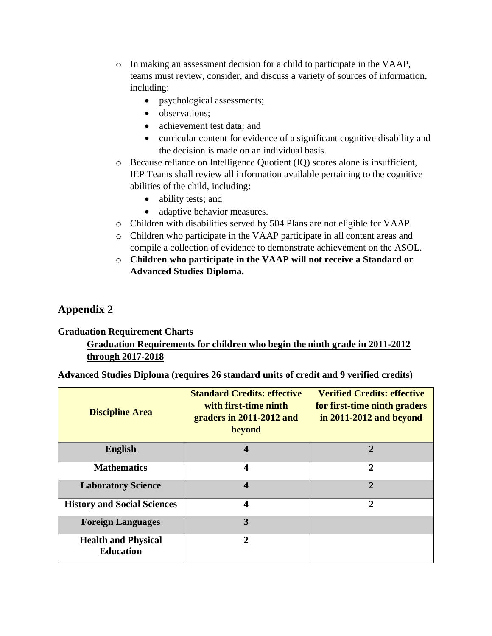- o In making an assessment decision for a child to participate in the VAAP, teams must review, consider, and discuss a variety of sources of information, including:
	- psychological assessments;
	- observations:
	- achievement test data; and
	- curricular content for evidence of a significant cognitive disability and the decision is made on an individual basis.
- $\circ$  Because reliance on Intelligence Quotient (IQ) scores alone is insufficient, IEP Teams shall review all information available pertaining to the cognitive abilities of the child, including:
	- ability tests; and
	- adaptive behavior measures.
- o Children with disabilities served by 504 Plans are not eligible for VAAP.
- o Children who participate in the VAAP participate in all content areas and compile a collection of evidence to demonstrate achievement on the ASOL.
- o **Children who participate in the VAAP will not receive a Standard or Advanced Studies Diploma.**

## **Appendix 2**

#### **Graduation Requirement Charts**

## **Graduation Requirements for children who begin the ninth grade in 2011-2012 through 2017-2018**

**Advanced Studies Diploma (requires 26 standard units of credit and 9 verified credits)**

| <b>Discipline Area</b>                         | <b>Standard Credits: effective</b><br>with first-time ninth<br>graders in 2011-2012 and<br>beyond | <b>Verified Credits: effective</b><br>for first-time ninth graders<br>in $2011 - 2012$ and beyond |
|------------------------------------------------|---------------------------------------------------------------------------------------------------|---------------------------------------------------------------------------------------------------|
| <b>English</b>                                 | 4                                                                                                 | 2                                                                                                 |
| <b>Mathematics</b>                             | 4                                                                                                 | $\overline{2}$                                                                                    |
| <b>Laboratory Science</b>                      | $\overline{\mathbf{4}}$                                                                           | $\overline{2}$                                                                                    |
| <b>History and Social Sciences</b>             | 4                                                                                                 | $\overline{2}$                                                                                    |
| <b>Foreign Languages</b>                       | 3                                                                                                 |                                                                                                   |
| <b>Health and Physical</b><br><b>Education</b> | $\mathbf{2}$                                                                                      |                                                                                                   |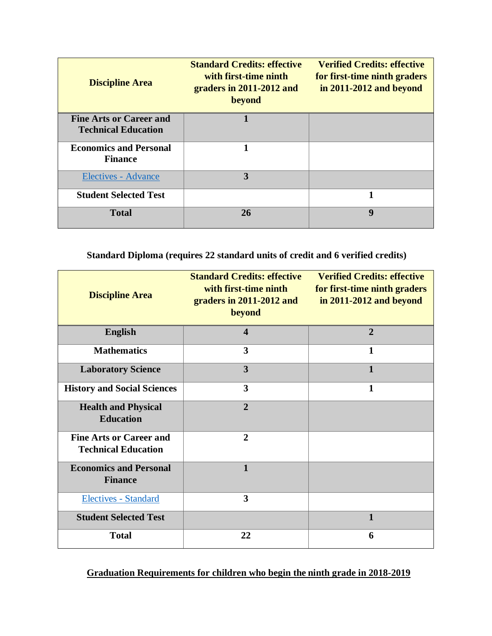| <b>Discipline Area</b>                                       | <b>Standard Credits: effective</b><br>with first-time ninth<br>graders in 2011-2012 and<br>beyond | <b>Verified Credits: effective</b><br>for first-time ninth graders<br>in $2011 - 2012$ and beyond |
|--------------------------------------------------------------|---------------------------------------------------------------------------------------------------|---------------------------------------------------------------------------------------------------|
| <b>Fine Arts or Career and</b><br><b>Technical Education</b> |                                                                                                   |                                                                                                   |
| <b>Economics and Personal</b><br><b>Finance</b>              |                                                                                                   |                                                                                                   |
| <b>Electives - Advance</b>                                   | 3                                                                                                 |                                                                                                   |
| <b>Student Selected Test</b>                                 |                                                                                                   | 1                                                                                                 |
| <b>Total</b>                                                 | <b>26</b>                                                                                         | 9                                                                                                 |

### **Standard Diploma (requires 22 standard units of credit and 6 verified credits)**

| <b>Discipline Area</b>                                       | <b>Standard Credits: effective</b><br>with first-time ninth<br>graders in 2011-2012 and<br>beyond | <b>Verified Credits: effective</b><br>for first-time ninth graders<br>in 2011-2012 and beyond |
|--------------------------------------------------------------|---------------------------------------------------------------------------------------------------|-----------------------------------------------------------------------------------------------|
| <b>English</b>                                               | $\overline{\mathbf{4}}$                                                                           | $\overline{2}$                                                                                |
| <b>Mathematics</b>                                           | 3                                                                                                 | 1                                                                                             |
| <b>Laboratory Science</b>                                    | 3                                                                                                 | $\mathbf{1}$                                                                                  |
| <b>History and Social Sciences</b>                           | $\overline{\mathbf{3}}$                                                                           | $\mathbf{1}$                                                                                  |
| <b>Health and Physical</b><br><b>Education</b>               | $\overline{2}$                                                                                    |                                                                                               |
| <b>Fine Arts or Career and</b><br><b>Technical Education</b> | $\overline{2}$                                                                                    |                                                                                               |
| <b>Economics and Personal</b><br><b>Finance</b>              | $\mathbf{1}$                                                                                      |                                                                                               |
| Electives - Standard                                         | 3                                                                                                 |                                                                                               |
| <b>Student Selected Test</b>                                 |                                                                                                   | $\mathbf{1}$                                                                                  |
| <b>Total</b>                                                 | 22                                                                                                | 6                                                                                             |

### **Graduation Requirements for children who begin the ninth grade in 2018-2019**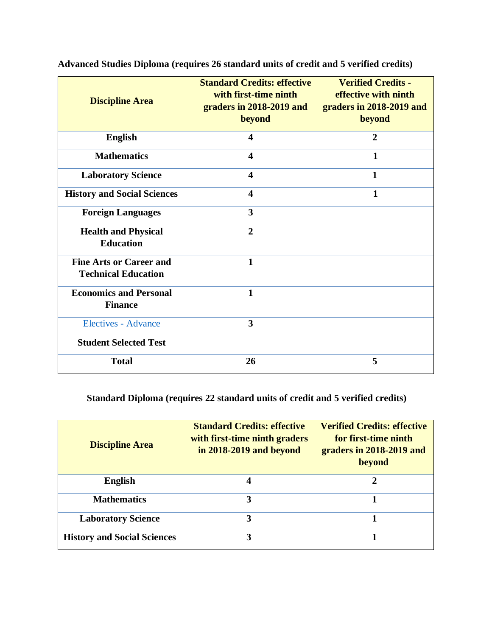| <b>Discipline Area</b>                                       | <b>Standard Credits: effective</b><br>with first-time ninth<br>graders in 2018-2019 and<br>beyond | <b>Verified Credits -</b><br>effective with ninth<br>graders in 2018-2019 and<br>beyond |
|--------------------------------------------------------------|---------------------------------------------------------------------------------------------------|-----------------------------------------------------------------------------------------|
| <b>English</b>                                               | $\overline{\mathbf{4}}$                                                                           | $\overline{2}$                                                                          |
| <b>Mathematics</b>                                           | $\overline{\mathbf{4}}$                                                                           | 1                                                                                       |
| <b>Laboratory Science</b>                                    | 4                                                                                                 | 1                                                                                       |
| <b>History and Social Sciences</b>                           | $\overline{\mathbf{4}}$                                                                           | $\mathbf{1}$                                                                            |
| <b>Foreign Languages</b>                                     | 3                                                                                                 |                                                                                         |
| <b>Health and Physical</b><br><b>Education</b>               | $\overline{2}$                                                                                    |                                                                                         |
| <b>Fine Arts or Career and</b><br><b>Technical Education</b> | $\mathbf{1}$                                                                                      |                                                                                         |
| <b>Economics and Personal</b><br><b>Finance</b>              | $\mathbf{1}$                                                                                      |                                                                                         |
| Electives - Advance                                          | 3                                                                                                 |                                                                                         |
| <b>Student Selected Test</b>                                 |                                                                                                   |                                                                                         |
| <b>Total</b>                                                 | 26                                                                                                | 5                                                                                       |

**Advanced Studies Diploma (requires 26 standard units of credit and 5 verified credits)**

## **Standard Diploma (requires 22 standard units of credit and 5 verified credits)**

| <b>Discipline Area</b>             | <b>Standard Credits: effective</b><br>with first-time ninth graders<br>in 2018-2019 and beyond | <b>Verified Credits: effective</b><br>for first-time ninth<br>graders in 2018-2019 and<br>beyond |
|------------------------------------|------------------------------------------------------------------------------------------------|--------------------------------------------------------------------------------------------------|
| <b>English</b>                     |                                                                                                |                                                                                                  |
| <b>Mathematics</b>                 | 3                                                                                              |                                                                                                  |
| <b>Laboratory Science</b>          | 3                                                                                              |                                                                                                  |
| <b>History and Social Sciences</b> |                                                                                                |                                                                                                  |